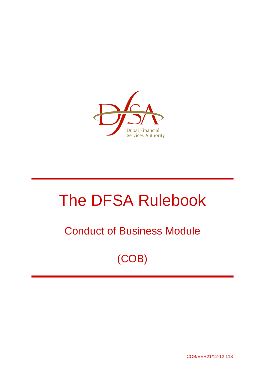

# The DFSA Rulebook

## Conduct of Business Module

(COB)

COB/VER21/12-12 113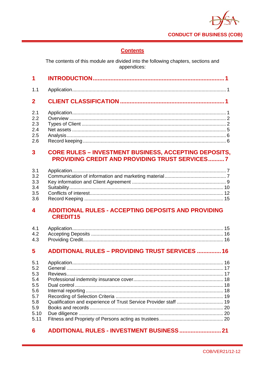

## **Contents**

The contents of this module are divided into the following chapters, sections and appendices:

| 1.1                     |                                                                                                                       |  |
|-------------------------|-----------------------------------------------------------------------------------------------------------------------|--|
| 2 <sup>1</sup>          |                                                                                                                       |  |
| 2.1                     |                                                                                                                       |  |
| 2.2                     |                                                                                                                       |  |
| 2.3                     |                                                                                                                       |  |
| 2.4                     |                                                                                                                       |  |
| 2.5                     |                                                                                                                       |  |
| 2.6                     |                                                                                                                       |  |
| $\overline{\mathbf{3}}$ | <b>CORE RULES - INVESTMENT BUSINESS, ACCEPTING DEPOSITS,</b><br><b>PROVIDING CREDIT AND PROVIDING TRUST SERVICES7</b> |  |
|                         |                                                                                                                       |  |
|                         |                                                                                                                       |  |

#### ADDITIONAL RULES - ACCEPTING DEPOSITS AND PROVIDING  $\overline{\mathbf{4}}$ **CREDIT15**

#### **ADDITIONAL RULES - PROVIDING TRUST SERVICES ............... 16**  $5<sup>5</sup>$

| 5.1  |  |
|------|--|
| 5.2  |  |
| 5.3  |  |
| 5.4  |  |
| 5.5  |  |
| 5.6  |  |
| 5.7  |  |
| 5.8  |  |
| 5.9  |  |
| 5.10 |  |
| 5.11 |  |
|      |  |

#### $6<sup>1</sup>$ ADDITIONAL RULES - INVESTMENT BUSINESS ............................. 21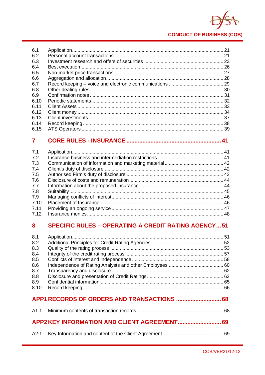

#### $6.1$  $6.2$ 6.3 64 6.5 6.6 6.7 68 6.9 6.10 6.11 Client Assets 33 6.12 6.13 6.14 6.15

#### $\overline{\mathbf{z}}$

| 7.1  |  |
|------|--|
| 7.2  |  |
| 7.3  |  |
| 7.4  |  |
| 7.5  |  |
| 7.6  |  |
| 7.7  |  |
| 7.8  |  |
| 7.9  |  |
| 7.10 |  |
| 7.11 |  |
| 7.12 |  |

#### **SPECIFIC RULES - OPERATING A CREDIT RATING AGENCY...51**  $\mathbf{R}$

| 8.1<br>8.2<br>8.3<br>8.4<br>8.5<br>8.6<br>8.7<br>8.8<br>8.9<br>8.10 |  |
|---------------------------------------------------------------------|--|
|                                                                     |  |
|                                                                     |  |
|                                                                     |  |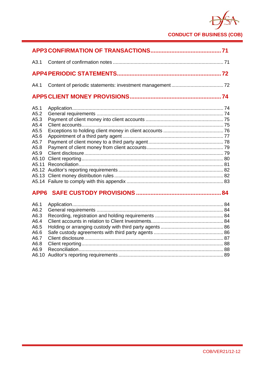

| A3.1                                                                                   |              |  |
|----------------------------------------------------------------------------------------|--------------|--|
|                                                                                        |              |  |
| A4.1                                                                                   |              |  |
|                                                                                        |              |  |
| A5.1<br>A5.2<br>A5.3<br>A5.4<br>A5.5<br>A5.6<br>A5.7<br>A5.8<br>A5.9<br>A5.10<br>A5.11 |              |  |
|                                                                                        | . <u>.</u> . |  |

## **APP6 SAFE CUSTODY PROVISIONS ..................................................... 84**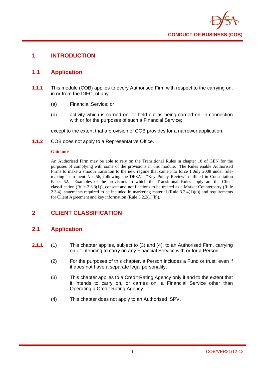

## **1 INTRODUCTION**

## **1.1 Application**

- **1.1.1** This module (COB) applies to every Authorised Firm with respect to the carrying on, in or from the DIFC, of any:
	- (a) Financial Service; or
	- (b) activity which is carried on, or held out as being carried on, in connection with or for the purposes of such a Financial Service;

except to the extent that a provision of COB provides for a narrower application.

**1.1.2** COB does not apply to a Representative Office.

#### **Guidance**

An Authorised Firm may be able to rely on the Transitional Rules in chapter 10 of GEN for the purposes of complying with some of the provisions in this module. The Rules enable Authorised Firms to make a smooth transition to the new regime that came into force 1 July 2008 under rulemaking instrument No. 56, following the DFSA's "Key Policy Review" outlined in Consultation Paper 52. Examples of the provisions to which the Transitional Rules apply are the Client classification (Rule 2.3.3(1)), consent and notifications to be treated as a Market Counterparty (Rule 2.3.4), statements required to be included in marketing material (Rule  $3.2.4(1)(c)$ ) and requirements for Client Agreement and key information (Rule 3.2.2(1)(b)).

## **2 CLIENT CLASSIFICATION**

## **2.1 Application**

- **2.1.1** (1) This chapter applies, subject to (3) and (4), to an Authorised Firm, carrying on or intending to carry on any Financial Service with or for a Person.
	- (2) For the purposes of this chapter, a Person includes a Fund or trust, even if it does not have a separate legal personality.
	- (3) This chapter applies to a Credit Rating Agency only if and to the extent that it intends to carry on, or carries on, a Financial Service other than Operating a Credit Rating Agency.
	- (4) This chapter does not apply to an Authorised ISPV.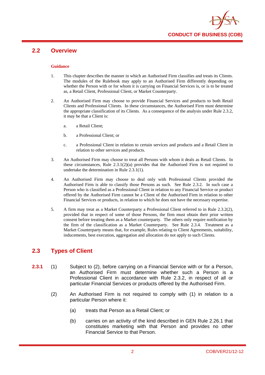

## **2.2 Overview**

#### **Guidance**

- 1. This chapter describes the manner in which an Authorised Firm classifies and treats its Clients. The modules of the Rulebook may apply to an Authorised Firm differently depending on whether the Person with or for whom it is carrying on Financial Services is, or is to be treated as, a Retail Client, Professional Client, or Market Counterparty.
- 2. An Authorised Firm may choose to provide Financial Services and products to both Retail Clients and Professional Clients. In these circumstances, the Authorised Firm must determine the appropriate classification of its Clients. As a consequence of the analysis under Rule 2.3.2, it may be that a Client is:
	- a. a Retail Client;
	- b. a Professional Client; or
	- c. a Professional Client in relation to certain services and products and a Retail Client in relation to other services and products.
- 3. An Authorised Firm may choose to treat all Persons with whom it deals as Retail Clients. In these circumstances, Rule  $2.3.1(2)(a)$  provides that the Authorised Firm is not required to undertake the determination in Rule 2.3.1(1).
- 4. An Authorised Firm may choose to deal only with Professional Clients provided the Authorised Firm is able to classify those Persons as such. See Rule 2.3.2. In such case a Person who is classified as a Professional Client in relation to any Financial Service or product offered by the Authorised Firm cannot be a Client of the Authorised Firm in relation to other Financial Services or products, in relation to which he does not have the necessary expertise.
- 5. A firm may treat as a Market Counterparty a Professional Client referred to in Rule 2.3.2(2), provided that in respect of some of those Persons, the firm must obtain their prior written consent before treating them as a Market counterparty. The others only require notification by the firm of the classification as a Market Counterparty. See Rule 2.3.4. Treatment as a Market Counterparty means that, for example, Rules relating to Client Agreements, suitability, inducements, best execution, aggregation and allocation do not apply to such Clients.

## **2.3 Types of Client**

- **2.3.1** (1) Subject to (2), before carrying on a Financial Service with or for a Person, an Authorised Firm must determine whether such a Person is a Professional Client in accordance with Rule 2.3.2, in respect of all or particular Financial Services or products offered by the Authorised Firm.
	- (2) An Authorised Firm is not required to comply with (1) in relation to a particular Person where it:
		- (a) treats that Person as a Retail Client; or
		- (b) carries on an activity of the kind described in GEN Rule 2.26.1 that constitutes marketing with that Person and provides no other Financial Service to that Person.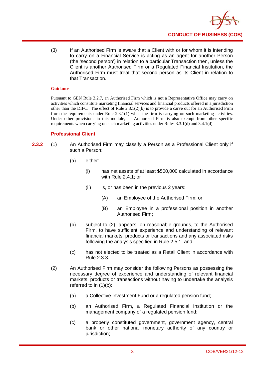

(3) If an Authorised Firm is aware that a Client with or for whom it is intending to carry on a Financial Service is acting as an agent for another Person (the 'second person') in relation to a particular Transaction then, unless the Client is another Authorised Firm or a Regulated Financial Institution, the Authorised Firm must treat that second person as its Client in relation to that Transaction.

#### **Guidance**

Pursuant to GEN Rule 3.2.7, an Authorised Firm which is not a Representative Office may carry on activities which constitute marketing financial services and financial products offered in a jurisdiction other than the DIFC. The effect of Rule  $2.3.1(2)(b)$  is to provide a carve out for an Authorised Firm from the requirements under Rule 2.3.1(1) when the firm is carrying on such marketing activities. Under other provisions in this module, an Authorised Firm is also exempt from other specific requirements when carrying on such marketing activities under Rules 3.3.1(d) and 3.4.1(d).

## **Professional Client**

- **2.3.2** (1) An Authorised Firm may classify a Person as a Professional Client only if such a Person:
	- (a) either:
		- (i) has net assets of at least \$500,000 calculated in accordance with Rule 2.4.1; or
		- (ii) is, or has been in the previous 2 years:
			- (A) an Employee of the Authorised Firm; or
			- (B) an Employee in a professional position in another Authorised Firm;
	- (b) subject to (2), appears, on reasonable grounds, to the Authorised Firm, to have sufficient experience and understanding of relevant financial markets, products or transactions and any associated risks following the analysis specified in Rule 2.5.1; and
	- (c) has not elected to be treated as a Retail Client in accordance with Rule 2.3.3.
	- (2) An Authorised Firm may consider the following Persons as possessing the necessary degree of experience and understanding of relevant financial markets, products or transactions without having to undertake the analysis referred to in (1)(b):
		- (a) a Collective Investment Fund or a regulated pension fund;
		- (b) an Authorised Firm, a Regulated Financial Institution or the management company of a regulated pension fund;
		- (c) a properly constituted government, government agency, central bank or other national monetary authority of any country or jurisdiction: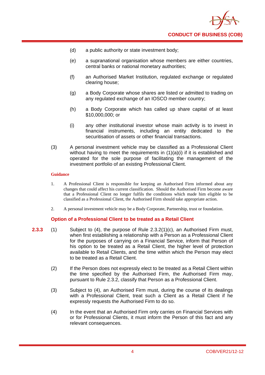

- (d) a public authority or state investment body;
- (e) a supranational organisation whose members are either countries, central banks or national monetary authorities;
- (f) an Authorised Market Institution, regulated exchange or regulated clearing house;
- (g) a Body Corporate whose shares are listed or admitted to trading on any regulated exchange of an IOSCO member country;
- (h) a Body Corporate which has called up share capital of at least \$10,000,000; or
- (i) any other institutional investor whose main activity is to invest in financial instruments, including an entity dedicated to the securitisation of assets or other financial transactions.
- (3) A personal investment vehicle may be classified as a Professional Client without having to meet the requirements in  $(1)(a)(i)$  if it is established and operated for the sole purpose of facilitating the management of the investment portfolio of an existing Professional Client.

- 1. A Professional Client is responsible for keeping an Authorised Firm informed about any changes that could affect his current classification. Should the Authorised Firm become aware that a Professional Client no longer fulfils the conditions which made him eligible to be classified as a Professional Client, the Authorised Firm should take appropriate action.
- 2. A personal investment vehicle may be a Body Corporate, Partnership, trust or foundation.

#### **Option of a Professional Client to be treated as a Retail Client**

- **2.3.3** (1) Subject to (4), the purpose of Rule 2.3.2(1)(c), an Authorised Firm must, when first establishing a relationship with a Person as a Professional Client for the purposes of carrying on a Financial Service, inform that Person of his option to be treated as a Retail Client, the higher level of protection available to Retail Clients, and the time within which the Person may elect to be treated as a Retail Client.
	- (2) If the Person does not expressly elect to be treated as a Retail Client within the time specified by the Authorised Firm, the Authorised Firm may, pursuant to Rule 2.3.2, classify that Person as a Professional Client.
	- (3) Subject to (4), an Authorised Firm must, during the course of its dealings with a Professional Client, treat such a Client as a Retail Client if he expressly requests the Authorised Firm to do so.
	- (4) In the event that an Authorised Firm only carries on Financial Services with or for Professional Clients, it must inform the Person of this fact and any relevant consequences.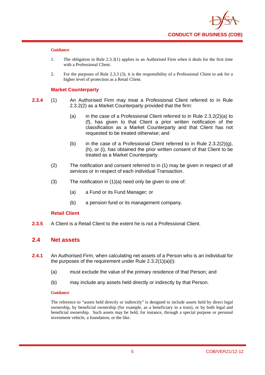

- 1. The obligation in Rule 2.3.3(1) applies to an Authorised Firm when it deals for the first time with a Professional Client.
- 2. For the purposes of Rule 2.3.3 (3), it is the responsibility of a Professional Client to ask for a higher level of protection as a Retail Client.

#### **Market Counterparty**

- **2.3.4** (1) An Authorised Firm may treat a Professional Client referred to in Rule 2.3.2(2) as a Market Counterparty provided that the firm:
	- (a) in the case of a Professional Client referred to in Rule 2.3.2(2)(a) to (f), has given to that Client a prior written notification of the classification as a Market Counterparty and that Client has not requested to be treated otherwise; and
	- (b) in the case of a Professional Client referred to in Rule  $2.3.2(2)(q)$ , (h), or (i), has obtained the prior written consent of that Client to be treated as a Market Counterparty.
	- (2) The notification and consent referred to in (1) may be given in respect of all services or in respect of each individual Transaction.
	- (3) The notification in (1)(a) need only be given to one of:
		- (a) a Fund or its Fund Manager; or
		- (b) a pension fund or its management company.

## **Retail Client**

**2.3.5** A Client is a Retail Client to the extent he is not a Professional Client.

## **2.4 Net assets**

- **2.4.1** An Authorised Firm, when calculating net assets of a Person who is an individual for the purposes of the requirement under Rule 2.3.2(1)(a)(i):
	- (a) must exclude the value of the primary residence of that Person; and
	- (b) may include any assets held directly or indirectly by that Person.

#### **Guidance**

The reference to "assets held directly or indirectly" is designed to include assets held by direct legal ownership, by beneficial ownership (for example, as a beneficiary in a trust), or by both legal and beneficial ownership. Such assets may be held, for instance, through a special purpose or personal investment vehicle, a foundation, or the like.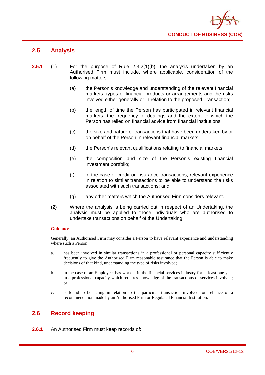

## **2.5 Analysis**

- **2.5.1** (1) For the purpose of Rule 2.3.2(1)(b), the analysis undertaken by an Authorised Firm must include, where applicable, consideration of the following matters:
	- (a) the Person's knowledge and understanding of the relevant financial markets, types of financial products or arrangements and the risks involved either generally or in relation to the proposed Transaction;
	- (b) the length of time the Person has participated in relevant financial markets, the frequency of dealings and the extent to which the Person has relied on financial advice from financial institutions;
	- (c) the size and nature of transactions that have been undertaken by or on behalf of the Person in relevant financial markets;
	- (d) the Person's relevant qualifications relating to financial markets;
	- (e) the composition and size of the Person's existing financial investment portfolio;
	- (f) in the case of credit or insurance transactions, relevant experience in relation to similar transactions to be able to understand the risks associated with such transactions; and
	- (g) any other matters which the Authorised Firm considers relevant.
	- (2) Where the analysis is being carried out in respect of an Undertaking, the analysis must be applied to those individuals who are authorised to undertake transactions on behalf of the Undertaking.

#### **Guidance**

Generally, an Authorised Firm may consider a Person to have relevant experience and understanding where such a Person:

- a. has been involved in similar transactions in a professional or personal capacity sufficiently frequently to give the Authorised Firm reasonable assurance that the Person is able to make decisions of that kind, understanding the type of risks involved;
- b. in the case of an Employee, has worked in the financial services industry for at least one year in a professional capacity which requires knowledge of the transactions or services involved; or
- c. is found to be acting in relation to the particular transaction involved, on reliance of a recommendation made by an Authorised Firm or Regulated Financial Institution.

## **2.6 Record keeping**

**2.6.1** An Authorised Firm must keep records of: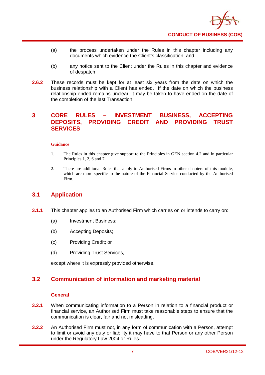

- (a) the process undertaken under the Rules in this chapter including any documents which evidence the Client's classification; and
- (b) any notice sent to the Client under the Rules in this chapter and evidence of despatch.
- **2.6.2** These records must be kept for at least six years from the date on which the business relationship with a Client has ended. If the date on which the business relationship ended remains unclear, it may be taken to have ended on the date of the completion of the last Transaction.

## **3 CORE RULES – INVESTMENT BUSINESS, ACCEPTING DEPOSITS, PROVIDING CREDIT AND PROVIDING TRUST SERVICES**

#### **Guidance**

- 1. The Rules in this chapter give support to the Principles in GEN section 4.2 and in particular Principles 1, 2, 6 and 7.
- 2. There are additional Rules that apply to Authorised Firms in other chapters of this module, which are more specific to the nature of the Financial Service conducted by the Authorised Firm.

## **3.1 Application**

- **3.1.1** This chapter applies to an Authorised Firm which carries on or intends to carry on:
	- (a) Investment Business;
	- (b) Accepting Deposits;
	- (c) Providing Credit; or
	- (d) Providing Trust Services,

except where it is expressly provided otherwise.

## **3.2 Communication of information and marketing material**

### **General**

- **3.2.1** When communicating information to a Person in relation to a financial product or financial service, an Authorised Firm must take reasonable steps to ensure that the communication is clear, fair and not misleading.
- **3.2.2** An Authorised Firm must not, in any form of communication with a Person, attempt to limit or avoid any duty or liability it may have to that Person or any other Person under the Regulatory Law 2004 or Rules.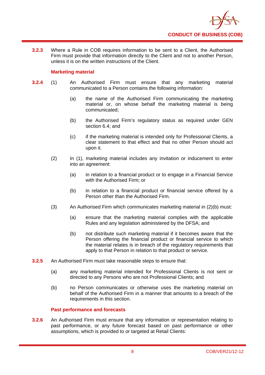

**3.2.3** Where a Rule in COB requires information to be sent to a Client, the Authorised Firm must provide that information directly to the Client and not to another Person, unless it is on the written instructions of the Client.

## **Marketing material**

- **3.2.4** (1) An Authorised Firm must ensure that any marketing material communicated to a Person contains the following information:
	- (a) the name of the Authorised Firm communicating the marketing material or, on whose behalf the marketing material is being communicated;
	- (b) the Authorised Firm's regulatory status as required under GEN section 6.4; and
	- (c) if the marketing material is intended only for Professional Clients, a clear statement to that effect and that no other Person should act upon it.
	- (2) In (1), marketing material includes any invitation or inducement to enter into an agreement:
		- (a) in relation to a financial product or to engage in a Financial Service with the Authorised Firm; or
		- (b) in relation to a financial product or financial service offered by a Person other than the Authorised Firm.
	- (3) An Authorised Firm which communicates marketing material in (2)(b) must:
		- (a) ensure that the marketing material complies with the applicable Rules and any legislation administered by the DFSA; and
		- (b) not distribute such marketing material if it becomes aware that the Person offering the financial product or financial service to which the material relates is in breach of the regulatory requirements that apply to that Person in relation to that product or service.
- **3.2.5** An Authorised Firm must take reasonable steps to ensure that:
	- (a) any marketing material intended for Professional Clients is not sent or directed to any Persons who are not Professional Clients; and
	- (b) no Person communicates or otherwise uses the marketing material on behalf of the Authorised Firm in a manner that amounts to a breach of the requirements in this section.

## **Past performance and forecasts**

**3.2.6** An Authorised Firm must ensure that any information or representation relating to past performance, or any future forecast based on past performance or other assumptions, which is provided to or targeted at Retail Clients: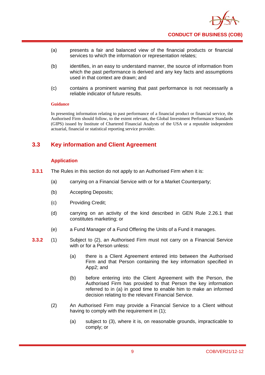

- (a) presents a fair and balanced view of the financial products or financial services to which the information or representation relates;
- (b) identifies, in an easy to understand manner, the source of information from which the past performance is derived and any key facts and assumptions used in that context are drawn; and
- (c) contains a prominent warning that past performance is not necessarily a reliable indicator of future results.

In presenting information relating to past performance of a financial product or financial service, the Authorised Firm should follow, to the extent relevant, the Global Investment Performance Standards (GIPS) issued by Institute of Chartered Financial Analysts of the USA or a reputable independent actuarial, financial or statistical reporting service provider.

## **3.3 Key information and Client Agreement**

## **Application**

- **3.3.1** The Rules in this section do not apply to an Authorised Firm when it is:
	- (a) carrying on a Financial Service with or for a Market Counterparty;
	- (b) Accepting Deposits;
	- (c) Providing Credit;
	- (d) carrying on an activity of the kind described in GEN Rule 2.26.1 that constitutes marketing; or
	- (e) a Fund Manager of a Fund Offering the Units of a Fund it manages.
- **3.3.2** (1) Subject to (2), an Authorised Firm must not carry on a Financial Service with or for a Person unless:
	- (a) there is a Client Agreement entered into between the Authorised Firm and that Person containing the key information specified in App2; and
	- (b) before entering into the Client Agreement with the Person, the Authorised Firm has provided to that Person the key information referred to in (a) in good time to enable him to make an informed decision relating to the relevant Financial Service.
	- (2) An Authorised Firm may provide a Financial Service to a Client without having to comply with the requirement in (1):
		- (a) subject to (3), where it is, on reasonable grounds, impracticable to comply; or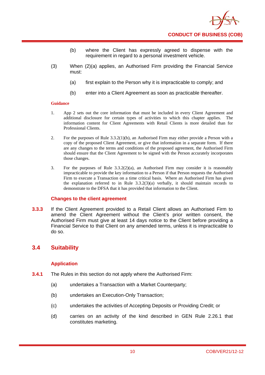

- (b) where the Client has expressly agreed to dispense with the requirement in regard to a personal investment vehicle.
- (3) When (2)(a) applies, an Authorised Firm providing the Financial Service must:
	- (a) first explain to the Person why it is impracticable to comply; and
	- (b) enter into a Client Agreement as soon as practicable thereafter.

- 1. App 2 sets out the core information that must be included in every Client Agreement and additional disclosure for certain types of activities to which this chapter applies. The information content for Client Agreements with Retail Clients is more detailed than for Professional Clients.
- 2. For the purposes of Rule 3.3.2(1)(b), an Authorised Firm may either provide a Person with a copy of the proposed Client Agreement, or give that information in a separate form. If there are any changes to the terms and conditions of the proposed agreement, the Authorised Firm should ensure that the Client Agreement to be signed with the Person accurately incorporates those changes.
- 3. For the purposes of Rule  $3.3.2(2)(a)$ , an Authorised Firm may consider it is reasonably impracticable to provide the key information to a Person if that Person requests the Authorised Firm to execute a Transaction on a time critical basis. Where an Authorised Firm has given the explanation referred to in Rule 3.3.2(3)(a) verbally, it should maintain records to demonstrate to the DFSA that it has provided that information to the Client.

#### **Changes to the client agreement**

**3.3.3** If the Client Agreement provided to a Retail Client allows an Authorised Firm to amend the Client Agreement without the Client's prior written consent, the Authorised Firm must give at least 14 days notice to the Client before providing a Financial Service to that Client on any amended terms, unless it is impracticable to do so.

## **3.4 Suitability**

## **Application**

- **3.4.1** The Rules in this section do not apply where the Authorised Firm:
	- (a) undertakes a Transaction with a Market Counterparty;
	- (b) undertakes an Execution-Only Transaction;
	- (c) undertakes the activities of Accepting Deposits or Providing Credit; or
	- (d) carries on an activity of the kind described in GEN Rule 2.26.1 that constitutes marketing.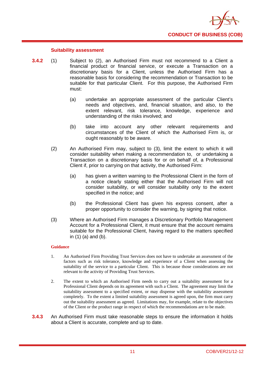

#### **Suitability assessment**

- **3.4.2** (1) Subject to (2), an Authorised Firm must not recommend to a Client a financial product or financial service, or execute a Transaction on a discretionary basis for a Client, unless the Authorised Firm has a reasonable basis for considering the recommendation or Transaction to be suitable for that particular Client. For this purpose, the Authorised Firm must:
	- (a) undertake an appropriate assessment of the particular Client's needs and objectives, and, financial situation, and also, to the extent relevant, risk tolerance, knowledge, experience and understanding of the risks involved; and
	- (b) take into account any other relevant requirements and circumstances of the Client of which the Authorised Firm is, or ought reasonably to be aware.
	- (2) An Authorised Firm may, subject to (3), limit the extent to which it will consider suitability when making a recommendation to, or undertaking a Transaction on a discretionary basis for or on behalf of, a Professional Client if, prior to carrying on that activity, the Authorised Firm:
		- (a) has given a written warning to the Professional Client in the form of a notice clearly stating either that the Authorised Firm will not consider suitability, or will consider suitability only to the extent specified in the notice; and
		- (b) the Professional Client has given his express consent, after a proper opportunity to consider the warning, by signing that notice.
	- (3) Where an Authorised Firm manages a Discretionary Portfolio Management Account for a Professional Client, it must ensure that the account remains suitable for the Professional Client, having regard to the matters specified in (1) (a) and (b).

#### **Guidance**

- 1. An Authorised Firm Providing Trust Services does not have to undertake an assessment of the factors such as risk tolerance, knowledge and experience of a Client when assessing the suitability of the service to a particular Client. This is because those considerations are not relevant to the activity of Providing Trust Services.
- 2. The extent to which an Authorised Firm needs to carry out a suitability assessment for a Professional Client depends on its agreement with such a Client. The agreement may limit the suitability assessment to a specified extent, or may dispense with the suitability assessment completely. To the extent a limited suitability assessment is agreed upon, the firm must carry out the suitability assessment as agreed. Limitations may, for example, relate to the objectives of the Client or the product range in respect of which the recommendations are to be made.
- **3.4.3** An Authorised Firm must take reasonable steps to ensure the information it holds about a Client is accurate, complete and up to date.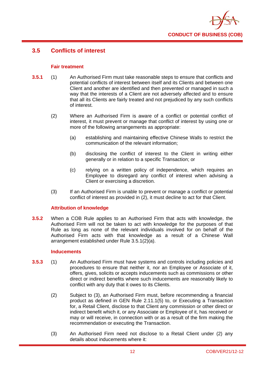

## **3.5 Conflicts of interest**

## **Fair treatment**

- **3.5.1** (1) An Authorised Firm must take reasonable steps to ensure that conflicts and potential conflicts of interest between itself and its Clients and between one Client and another are identified and then prevented or managed in such a way that the interests of a Client are not adversely affected and to ensure that all its Clients are fairly treated and not prejudiced by any such conflicts of interest.
	- (2) Where an Authorised Firm is aware of a conflict or potential conflict of interest, it must prevent or manage that conflict of interest by using one or more of the following arrangements as appropriate:
		- (a) establishing and maintaining effective Chinese Walls to restrict the communication of the relevant information;
		- (b) disclosing the conflict of interest to the Client in writing either generally or in relation to a specific Transaction; or
		- (c) relying on a written policy of independence, which requires an Employee to disregard any conflict of interest when advising a Client or exercising a discretion.
	- (3) If an Authorised Firm is unable to prevent or manage a conflict or potential conflict of interest as provided in (2), it must decline to act for that Client.

## **Attribution of knowledge**

**3.5.2** When a COB Rule applies to an Authorised Firm that acts with knowledge, the Authorised Firm will not be taken to act with knowledge for the purposes of that Rule as long as none of the relevant individuals involved for on behalf of the Authorised Firm acts with that knowledge as a result of a Chinese Wall arrangement established under Rule 3.5.1(2)(a).

### **Inducements**

- **3.5.3** (1) An Authorised Firm must have systems and controls including policies and procedures to ensure that neither it, nor an Employee or Associate of it, offers, gives, solicits or accepts inducements such as commissions or other direct or indirect benefits where such inducements are reasonably likely to conflict with any duty that it owes to its Clients.
	- (2) Subject to (3), an Authorised Firm must, before recommending a financial product as defined in GEN Rule 2.11.1(5) to, or Executing a Transaction for, a Retail Client, disclose to that Client any commission or other direct or indirect benefit which it, or any Associate or Employee of it, has received or may or will receive, in connection with or as a result of the firm making the recommendation or executing the Transaction.
	- (3) An Authorised Firm need not disclose to a Retail Client under (2) any details about inducements where it: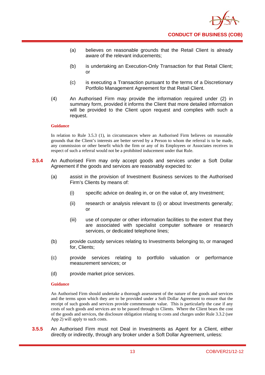

- (a) believes on reasonable grounds that the Retail Client is already aware of the relevant inducements;
- (b) is undertaking an Execution-Only Transaction for that Retail Client; or
- (c) is executing a Transaction pursuant to the terms of a Discretionary Portfolio Management Agreement for that Retail Client.
- (4) An Authorised Firm may provide the information required under (2) in summary form, provided it informs the Client that more detailed information will be provided to the Client upon request and complies with such a request.

In relation to Rule 3.5.3 (1), in circumstances where an Authorised Firm believes on reasonable grounds that the Client's interests are better served by a Person to whom the referral is to be made, any commission or other benefit which the firm or any of its Employees or Associates receives in respect of such a referral would not be a prohibited inducement under that Rule.

- **3.5.4** An Authorised Firm may only accept goods and services under a Soft Dollar Agreement if the goods and services are reasonably expected to:
	- (a) assist in the provision of Investment Business services to the Authorised Firm's Clients by means of:
		- (i) specific advice on dealing in, or on the value of, any Investment;
		- (ii) research or analysis relevant to (i) or about Investments generally; or
		- (iii) use of computer or other information facilities to the extent that they are associated with specialist computer software or research services, or dedicated telephone lines;
	- (b) provide custody services relating to Investments belonging to, or managed for, Clients;
	- (c) provide services relating to portfolio valuation or performance measurement services; or
	- (d) provide market price services.

#### **Guidance**

An Authorised Firm should undertake a thorough assessment of the nature of the goods and services and the terms upon which they are to be provided under a Soft Dollar Agreement to ensure that the receipt of such goods and services provide commensurate value. This is particularly the case if any costs of such goods and services are to be passed through to Clients. Where the Client bears the cost of the goods and services, the disclosure obligation relating to costs and charges under Rule 3.3.2 (see App 2) will apply to such costs.

**3.5.5** An Authorised Firm must not Deal in Investments as Agent for a Client, either directly or indirectly, through any broker under a Soft Dollar Agreement, unless: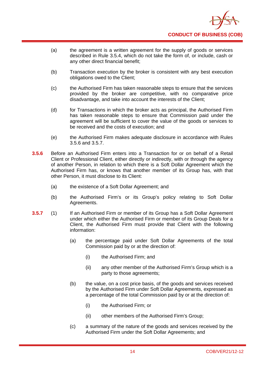

- (a) the agreement is a written agreement for the supply of goods or services described in Rule 3.5.4, which do not take the form of, or include, cash or any other direct financial benefit;
- (b) Transaction execution by the broker is consistent with any best execution obligations owed to the Client;
- (c) the Authorised Firm has taken reasonable steps to ensure that the services provided by the broker are competitive, with no comparative price disadvantage, and take into account the interests of the Client;
- (d) for Transactions in which the broker acts as principal, the Authorised Firm has taken reasonable steps to ensure that Commission paid under the agreement will be sufficient to cover the value of the goods or services to be received and the costs of execution; and
- (e) the Authorised Firm makes adequate disclosure in accordance with Rules 3.5.6 and 3.5.7.
- **3.5.6** Before an Authorised Firm enters into a Transaction for or on behalf of a Retail Client or Professional Client, either directly or indirectly, with or through the agency of another Person, in relation to which there is a Soft Dollar Agreement which the Authorised Firm has, or knows that another member of its Group has, with that other Person, it must disclose to its Client:
	- (a) the existence of a Soft Dollar Agreement; and
	- (b) the Authorised Firm's or its Group's policy relating to Soft Dollar Agreements.
- **3.5.7** (1) If an Authorised Firm or member of its Group has a Soft Dollar Agreement under which either the Authorised Firm or member of its Group Deals for a Client, the Authorised Firm must provide that Client with the following information:
	- (a) the percentage paid under Soft Dollar Agreements of the total Commission paid by or at the direction of:
		- (i) the Authorised Firm; and
		- (ii) any other member of the Authorised Firm's Group which is a party to those agreements;
	- (b) the value, on a cost price basis, of the goods and services received by the Authorised Firm under Soft Dollar Agreements, expressed as a percentage of the total Commission paid by or at the direction of:
		- (i) the Authorised Firm; or
		- (ii) other members of the Authorised Firm's Group;
	- (c) a summary of the nature of the goods and services received by the Authorised Firm under the Soft Dollar Agreements; and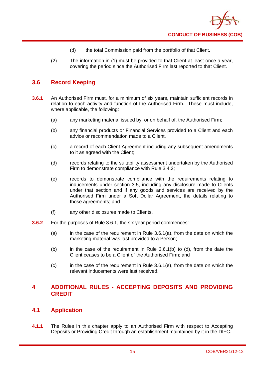

- (d) the total Commission paid from the portfolio of that Client.
- (2) The information in (1) must be provided to that Client at least once a year, covering the period since the Authorised Firm last reported to that Client.

## **3.6 Record Keeping**

- **3.6.1** An Authorised Firm must, for a minimum of six years, maintain sufficient records in relation to each activity and function of the Authorised Firm. These must include, where applicable, the following:
	- (a) any marketing material issued by, or on behalf of, the Authorised Firm;
	- (b) any financial products or Financial Services provided to a Client and each advice or recommendation made to a Client,
	- (c) a record of each Client Agreement including any subsequent amendments to it as agreed with the Client;
	- (d) records relating to the suitability assessment undertaken by the Authorised Firm to demonstrate compliance with Rule 3.4.2;
	- (e) records to demonstrate compliance with the requirements relating to inducements under section 3.5, including any disclosure made to Clients under that section and if any goods and services are received by the Authorised Firm under a Soft Dollar Agreement, the details relating to those agreements; and
	- (f) any other disclosures made to Clients.
- **3.6.2** For the purposes of Rule 3.6.1, the six year period commences:
	- $(a)$  in the case of the requirement in Rule 3.6.1(a), from the date on which the marketing material was last provided to a Person;
	- $(b)$  in the case of the requirement in Rule 3.6.1(b) to (d), from the date the Client ceases to be a Client of the Authorised Firm; and
	- $(c)$  in the case of the requirement in Rule 3.6.1(e), from the date on which the relevant inducements were last received.

## **4 ADDITIONAL RULES - ACCEPTING DEPOSITS AND PROVIDING CREDIT**

## **4.1 Application**

**4.1.1** The Rules in this chapter apply to an Authorised Firm with respect to Accepting Deposits or Providing Credit through an establishment maintained by it in the DIFC.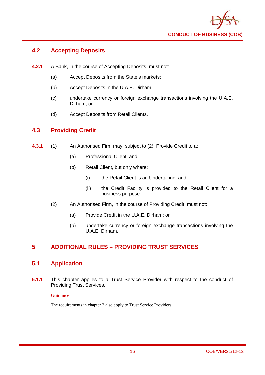

## **4.2 Accepting Deposits**

- **4.2.1** A Bank, in the course of Accepting Deposits, must not:
	- (a) Accept Deposits from the State's markets;
	- (b) Accept Deposits in the U.A.E. Dirham;
	- (c) undertake currency or foreign exchange transactions involving the U.A.E. Dirham; or
	- (d) Accept Deposits from Retail Clients.

## **4.3 Providing Credit**

- **4.3.1** (1) An Authorised Firm may, subject to (2), Provide Credit to a:
	- (a) Professional Client; and
	- (b) Retail Client, but only where:
		- (i) the Retail Client is an Undertaking; and
		- (ii) the Credit Facility is provided to the Retail Client for a business purpose.
	- (2) An Authorised Firm, in the course of Providing Credit, must not:
		- (a) Provide Credit in the U.A.E. Dirham; or
		- (b) undertake currency or foreign exchange transactions involving the U.A.E. Dirham.

## **5 ADDITIONAL RULES – PROVIDING TRUST SERVICES**

## **5.1 Application**

**5.1.1** This chapter applies to a Trust Service Provider with respect to the conduct of Providing Trust Services.

## **Guidance**

The requirements in chapter 3 also apply to Trust Service Providers.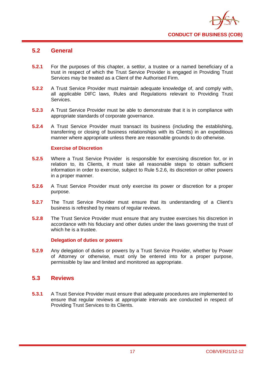

## **5.2 General**

- **5.2.1** For the purposes of this chapter, a settlor, a trustee or a named beneficiary of a trust in respect of which the Trust Service Provider is engaged in Providing Trust Services may be treated as a Client of the Authorised Firm.
- **5.2.2** A Trust Service Provider must maintain adequate knowledge of, and comply with, all applicable DIFC laws, Rules and Regulations relevant to Providing Trust Services.
- **5.2.3** A Trust Service Provider must be able to demonstrate that it is in compliance with appropriate standards of corporate governance.
- **5.2.4** A Trust Service Provider must transact its business (including the establishing, transferring or closing of business relationships with its Clients) in an expeditious manner where appropriate unless there are reasonable grounds to do otherwise.

## **Exercise of Discretion**

- **5.2.5** Where a Trust Service Provider is responsible for exercising discretion for, or in relation to, its Clients, it must take all reasonable steps to obtain sufficient information in order to exercise, subject to Rule 5.2.6, its discretion or other powers in a proper manner.
- **5.2.6** A Trust Service Provider must only exercise its power or discretion for a proper purpose.
- **5.2.7** The Trust Service Provider must ensure that its understanding of a Client's business is refreshed by means of regular reviews.
- **5.2.8** The Trust Service Provider must ensure that any trustee exercises his discretion in accordance with his fiduciary and other duties under the laws governing the trust of which he is a trustee.

## **Delegation of duties or powers**

**5.2.9** Any delegation of duties or powers by a Trust Service Provider, whether by Power of Attorney or otherwise, must only be entered into for a proper purpose, permissible by law and limited and monitored as appropriate.

## **5.3 Reviews**

**5.3.1** A Trust Service Provider must ensure that adequate procedures are implemented to ensure that regular reviews at appropriate intervals are conducted in respect of Providing Trust Services to its Clients.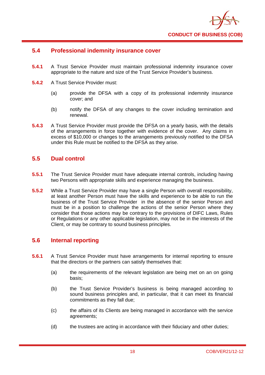

## **5.4 Professional indemnity insurance cover**

- **5.4.1** A Trust Service Provider must maintain professional indemnity insurance cover appropriate to the nature and size of the Trust Service Provider's business.
- **5.4.2** A Trust Service Provider must:
	- (a) provide the DFSA with a copy of its professional indemnity insurance cover; and
	- (b) notify the DFSA of any changes to the cover including termination and renewal.
- **5.4.3** A Trust Service Provider must provide the DFSA on a yearly basis, with the details of the arrangements in force together with evidence of the cover. Any claims in excess of \$10,000 or changes to the arrangements previously notified to the DFSA under this Rule must be notified to the DFSA as they arise.

## **5.5 Dual control**

- **5.5.1** The Trust Service Provider must have adequate internal controls, including having two Persons with appropriate skills and experience managing the business.
- **5.5.2** While a Trust Service Provider may have a single Person with overall responsibility, at least another Person must have the skills and experience to be able to run the business of the Trust Service Provider in the absence of the senior Person and must be in a position to challenge the actions of the senior Person where they consider that those actions may be contrary to the provisions of DIFC Laws, Rules or Regulations or any other applicable legislation, may not be in the interests of the Client, or may be contrary to sound business principles.

## **5.6 Internal reporting**

- **5.6.1** A Trust Service Provider must have arrangements for internal reporting to ensure that the directors or the partners can satisfy themselves that:
	- (a) the requirements of the relevant legislation are being met on an on going basis;
	- (b) the Trust Service Provider's business is being managed according to sound business principles and, in particular, that it can meet its financial commitments as they fall due;
	- (c) the affairs of its Clients are being managed in accordance with the service agreements;
	- (d) the trustees are acting in accordance with their fiduciary and other duties;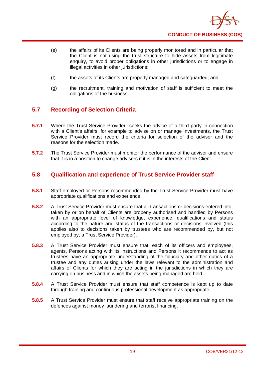

- (e) the affairs of its Clients are being properly monitored and in particular that the Client is not using the trust structure to hide assets from legitimate enquiry, to avoid proper obligations in other jurisdictions or to engage in illegal activities in other jurisdictions;
- (f) the assets of its Clients are properly managed and safeguarded; and
- (g) the recruitment, training and motivation of staff is sufficient to meet the obligations of the business.

## **5.7 Recording of Selection Criteria**

- **5.7.1** Where the Trust Service Provider seeks the advice of a third party in connection with a Client's affairs, for example to advise on or manage investments, the Trust Service Provider must record the criteria for selection of the adviser and the reasons for the selection made.
- **5.7.2** The Trust Service Provider must monitor the performance of the adviser and ensure that it is in a position to change advisers if it is in the interests of the Client.

## **5.8 Qualification and experience of Trust Service Provider staff**

- **5.8.1** Staff employed or Persons recommended by the Trust Service Provider must have appropriate qualifications and experience.
- **5.8.2** A Trust Service Provider must ensure that all transactions or decisions entered into, taken by or on behalf of Clients are properly authorised and handled by Persons with an appropriate level of knowledge, experience, qualifications and status according to the nature and status of the transactions or decisions involved (this applies also to decisions taken by trustees who are recommended by, but not employed by, a Trust Service Provider).
- **5.8.3** A Trust Service Provider must ensure that, each of its officers and employees, agents, Persons acting with its instructions and Persons it recommends to act as trustees have an appropriate understanding of the fiduciary and other duties of a trustee and any duties arising under the laws relevant to the administration and affairs of Clients for which they are acting in the jurisdictions in which they are carrying on business and in which the assets being managed are held.
- **5.8.4** A Trust Service Provider must ensure that staff competence is kept up to date through training and continuous professional development as appropriate.
- **5.8.5** A Trust Service Provider must ensure that staff receive appropriate training on the defences against money laundering and terrorist financing.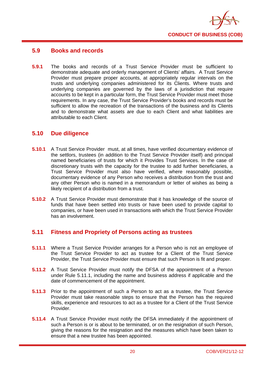

## **5.9 Books and records**

**5.9.1** The books and records of a Trust Service Provider must be sufficient to demonstrate adequate and orderly management of Clients' affairs. A Trust Service Provider must prepare proper accounts, at appropriately regular intervals on the trusts and underlying companies administered for its Clients. Where trusts and underlying companies are governed by the laws of a jurisdiction that require accounts to be kept in a particular form, the Trust Service Provider must meet those requirements. In any case, the Trust Service Provider's books and records must be sufficient to allow the recreation of the transactions of the business and its Clients and to demonstrate what assets are due to each Client and what liabilities are attributable to each Client.

## **5.10 Due diligence**

- **5.10.1** A Trust Service Provider must, at all times, have verified documentary evidence of the settlors, trustees (in addition to the Trust Service Provider itself) and principal named beneficiaries of trusts for which it Provides Trust Services. In the case of discretionary trusts with the capacity for the trustee to add further beneficiaries, a Trust Service Provider must also have verified, where reasonably possible, documentary evidence of any Person who receives a distribution from the trust and any other Person who is named in a memorandum or letter of wishes as being a likely recipient of a distribution from a trust.
- **5.10.2** A Trust Service Provider must demonstrate that it has knowledge of the source of funds that have been settled into trusts or have been used to provide capital to companies, or have been used in transactions with which the Trust Service Provider has an involvement.

## **5.11 Fitness and Propriety of Persons acting as trustees**

- **5.11.1** Where a Trust Service Provider arranges for a Person who is not an employee of the Trust Service Provider to act as trustee for a Client of the Trust Service Provider, the Trust Service Provider must ensure that such Person is fit and proper.
- **5.11.2** A Trust Service Provider must notify the DFSA of the appointment of a Person under Rule 5.11.1, including the name and business address if applicable and the date of commencement of the appointment.
- **5.11.3** Prior to the appointment of such a Person to act as a trustee, the Trust Service Provider must take reasonable steps to ensure that the Person has the required skills, experience and resources to act as a trustee for a Client of the Trust Service Provider.
- **5.11.4** A Trust Service Provider must notify the DFSA immediately if the appointment of such a Person is or is about to be terminated, or on the resignation of such Person, giving the reasons for the resignation and the measures which have been taken to ensure that a new trustee has been appointed.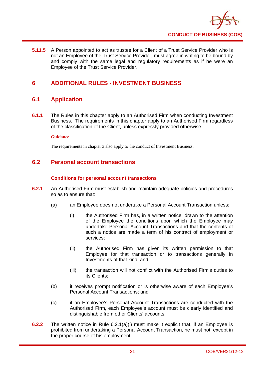

**5.11.5** A Person appointed to act as trustee for a Client of a Trust Service Provider who is not an Employee of the Trust Service Provider, must agree in writing to be bound by and comply with the same legal and regulatory requirements as if he were an Employee of the Trust Service Provider.

## **6 ADDITIONAL RULES - INVESTMENT BUSINESS**

## **6.1 Application**

**6.1.1** The Rules in this chapter apply to an Authorised Firm when conducting Investment Business. The requirements in this chapter apply to an Authorised Firm regardless of the classification of the Client, unless expressly provided otherwise.

#### **Guidance**

The requirements in chapter 3 also apply to the conduct of Investment Business.

## **6.2 Personal account transactions**

## **Conditions for personal account transactions**

- **6.2.1** An Authorised Firm must establish and maintain adequate policies and procedures so as to ensure that:
	- (a) an Employee does not undertake a Personal Account Transaction unless:
		- (i) the Authorised Firm has, in a written notice, drawn to the attention of the Employee the conditions upon which the Employee may undertake Personal Account Transactions and that the contents of such a notice are made a term of his contract of employment or services;
		- (ii) the Authorised Firm has given its written permission to that Employee for that transaction or to transactions generally in Investments of that kind; and
		- (iii) the transaction will not conflict with the Authorised Firm's duties to its Clients;
	- (b) it receives prompt notification or is otherwise aware of each Employee's Personal Account Transactions; and
	- (c) if an Employee's Personal Account Transactions are conducted with the Authorised Firm, each Employee's account must be clearly identified and distinguishable from other Clients' accounts.
- **6.2.2** The written notice in Rule 6.2.1(a)(i) must make it explicit that, if an Employee is prohibited from undertaking a Personal Account Transaction, he must not, except in the proper course of his employment: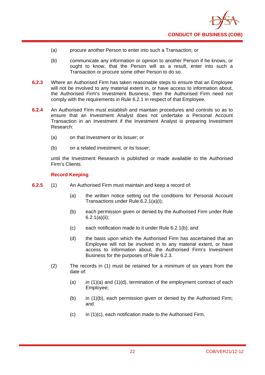

- (a) procure another Person to enter into such a Transaction; or
- (b) communicate any information or opinion to another Person if he knows, or ought to know, that the Person will as a result, enter into such a Transaction or procure some other Person to do so.
- **6.2.3** Where an Authorised Firm has taken reasonable steps to ensure that an Employee will not be involved to any material extent in, or have access to information about, the Authorised Firm's Investment Business, then the Authorised Firm need not comply with the requirements in Rule 6.2.1 in respect of that Employee.
- **6.2.4** An Authorised Firm must establish and maintain procedures and controls so as to ensure that an Investment Analyst does not undertake a Personal Account Transaction in an Investment if the Investment Analyst is preparing Investment Research:
	- (a) on that Investment or its Issuer; or
	- (b) on a related investment, or its Issuer;

until the Investment Research is published or made available to the Authorised Firm's Clients.

## **Record Keeping**

- **6.2.5** (1) An Authorised Firm must maintain and keep a record of:
	- (a) the written notice setting out the conditions for Personal Account Transactions under Rule 6.2.1(a)(i);
	- (b) each permission given or denied by the Authorised Firm under Rule 6.2.1(a)(ii);
	- (c) each notification made to it under Rule 6.2.1(b); and
	- (d) the basis upon which the Authorised Firm has ascertained that an Employee will not be involved in to any material extent, or have access to information about, the Authorised Firm's Investment Business for the purposes of Rule 6.2.3.
	- (2) The records in (1) must be retained for a minimum of six years from the date of:
		- (a) in  $(1)(a)$  and  $(1)(d)$ , termination of the employment contract of each Employee;
		- (b) in (1)(b), each permission given or denied by the Authorised Firm; and
		- $(c)$  in  $(1)(c)$ , each notification made to the Authorised Firm.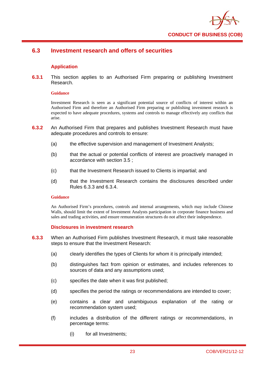

## **6.3 Investment research and offers of securities**

## **Application**

**6.3.1** This section applies to an Authorised Firm preparing or publishing Investment Research.

#### **Guidance**

Investment Research is seen as a significant potential source of conflicts of interest within an Authorised Firm and therefore an Authorised Firm preparing or publishing investment research is expected to have adequate procedures, systems and controls to manage effectively any conflicts that arise.

- **6.3.2** An Authorised Firm that prepares and publishes Investment Research must have adequate procedures and controls to ensure:
	- (a) the effective supervision and management of Investment Analysts:
	- (b) that the actual or potential conflicts of interest are proactively managed in accordance with section 3.5 ;
	- (c) that the Investment Research issued to Clients is impartial; and
	- (d) that the Investment Research contains the disclosures described under Rules 6.3.3 and 6.3.4.

#### **Guidance**

An Authorised Firm's procedures, controls and internal arrangements, which may include Chinese Walls, should limit the extent of Investment Analysts participation in corporate finance business and sales and trading activities, and ensure remuneration structures do not affect their independence.

#### **Disclosures in investment research**

- **6.3.3** When an Authorised Firm publishes Investment Research, it must take reasonable steps to ensure that the Investment Research:
	- (a) clearly identifies the types of Clients for whom it is principally intended;
	- (b) distinguishes fact from opinion or estimates, and includes references to sources of data and any assumptions used;
	- (c) specifies the date when it was first published;
	- (d) specifies the period the ratings or recommendations are intended to cover;
	- (e) contains a clear and unambiguous explanation of the rating or recommendation system used;
	- (f) includes a distribution of the different ratings or recommendations, in percentage terms:
		- (i) for all Investments;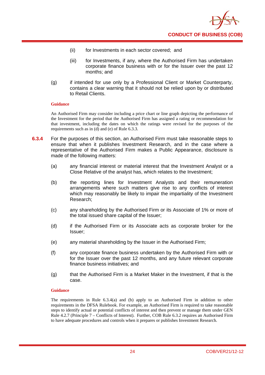

- (ii) for Investments in each sector covered; and
- (iii) for Investments, if any, where the Authorised Firm has undertaken corporate finance business with or for the Issuer over the past 12 months; and
- (g) if intended for use only by a Professional Client or Market Counterparty, contains a clear warning that it should not be relied upon by or distributed to Retail Clients.

An Authorised Firm may consider including a price chart or line graph depicting the performance of the Investment for the period that the Authorised Firm has assigned a rating or recommendation for that investment, including the dates on which the ratings were revised for the purposes of the requirements such as in (d) and (e) of Rule 6.3.3.

- **6.3.4** For the purposes of this section, an Authorised Firm must take reasonable steps to ensure that when it publishes Investment Research, and in the case where a representative of the Authorised Firm makes a Public Appearance, disclosure is made of the following matters:
	- (a) any financial interest or material interest that the Investment Analyst or a Close Relative of the analyst has, which relates to the Investment;
	- (b) the reporting lines for Investment Analysts and their remuneration arrangements where such matters give rise to any conflicts of interest which may reasonably be likely to impair the impartiality of the Investment Research;
	- (c) any shareholding by the Authorised Firm or its Associate of 1% or more of the total issued share capital of the Issuer;
	- (d) if the Authorised Firm or its Associate acts as corporate broker for the Issuer;
	- (e) any material shareholding by the Issuer in the Authorised Firm;
	- (f) any corporate finance business undertaken by the Authorised Firm with or for the Issuer over the past 12 months, and any future relevant corporate finance business initiatives; and
	- (g) that the Authorised Firm is a Market Maker in the Investment, if that is the case.

#### **Guidance**

The requirements in Rule 6.3.4(a) and (b) apply to an Authorised Firm in addition to other requirements in the DFSA Rulebook. For example, an Authorised Firm is required to take reasonable steps to identify actual or potential conflicts of interest and then prevent or manage them under GEN Rule 4.2.7 (Principle 7 – Conflicts of Interest). Further, COB Rule 6.3.2 requires an Authorised Firm to have adequate procedures and controls when it prepares or publishes Investment Research.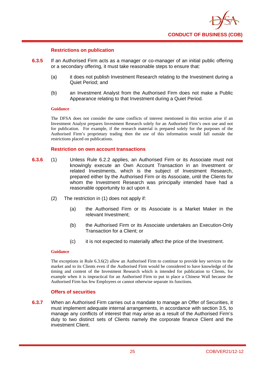

## **Restrictions on publication**

- **6.3.5** If an Authorised Firm acts as a manager or co-manager of an initial public offering or a secondary offering, it must take reasonable steps to ensure that:
	- (a) it does not publish Investment Research relating to the Investment during a Quiet Period; and
	- (b) an Investment Analyst from the Authorised Firm does not make a Public Appearance relating to that Investment during a Quiet Period.

#### **Guidance**

The DFSA does not consider the same conflicts of interest mentioned in this section arise if an Investment Analyst prepares Investment Research solely for an Authorised Firm's own use and not for publication. For example, if the research material is prepared solely for the purposes of the Authorised Firm's proprietary trading then the use of this information would fall outside the restrictions placed on publications.

#### **Restriction on own account transactions**

- **6.3.6** (1) Unless Rule 6.2.2 applies, an Authorised Firm or its Associate must not knowingly execute an Own Account Transaction in an Investment or related Investments, which is the subject of Investment Research, prepared either by the Authorised Firm or its Associate, until the Clients for whom the Investment Research was principally intended have had a reasonable opportunity to act upon it.
	- (2) The restriction in (1) does not apply if:
		- (a) the Authorised Firm or its Associate is a Market Maker in the relevant Investment;
		- (b) the Authorised Firm or its Associate undertakes an Execution-Only Transaction for a Client; or
		- (c) it is not expected to materially affect the price of the Investment.

#### **Guidance**

The exceptions in Rule 6.3.6(2) allow an Authorised Firm to continue to provide key services to the market and to its Clients even if the Authorised Firm would be considered to have knowledge of the timing and content of the Investment Research which is intended for publication to Clients, for example when it is impractical for an Authorised Firm to put in place a Chinese Wall because the Authorised Firm has few Employees or cannot otherwise separate its functions.

#### **Offers of securities**

**6.3.7** When an Authorised Firm carries out a mandate to manage an Offer of Securities, it must implement adequate internal arrangements, in accordance with section 3.5, to manage any conflicts of interest that may arise as a result of the Authorised Firm's duty to two distinct sets of Clients namely the corporate finance Client and the investment Client.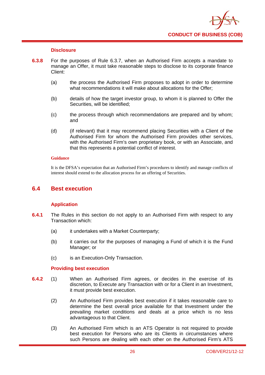

## **Disclosure**

- **6.3.8** For the purposes of Rule 6.3.7, when an Authorised Firm accepts a mandate to manage an Offer, it must take reasonable steps to disclose to its corporate finance Client:
	- (a) the process the Authorised Firm proposes to adopt in order to determine what recommendations it will make about allocations for the Offer;
	- (b) details of how the target investor group, to whom it is planned to Offer the Securities, will be identified;
	- (c) the process through which recommendations are prepared and by whom; and
	- (d) (if relevant) that it may recommend placing Securities with a Client of the Authorised Firm for whom the Authorised Firm provides other services, with the Authorised Firm's own proprietary book, or with an Associate, and that this represents a potential conflict of interest.

#### **Guidance**

It is the DFSA's expectation that an Authorised Firm's procedures to identify and manage conflicts of interest should extend to the allocation process for an offering of Securities.

## **6.4 Best execution**

## **Application**

- **6.4.1** The Rules in this section do not apply to an Authorised Firm with respect to any Transaction which:
	- (a) it undertakes with a Market Counterparty;
	- (b) it carries out for the purposes of managing a Fund of which it is the Fund Manager; or
	- (c) is an Execution-Only Transaction.

#### **Providing best execution**

- **6.4.2** (1) When an Authorised Firm agrees, or decides in the exercise of its discretion, to Execute any Transaction with or for a Client in an Investment, it must provide best execution.
	- (2) An Authorised Firm provides best execution if it takes reasonable care to determine the best overall price available for that Investment under the prevailing market conditions and deals at a price which is no less advantageous to that Client.
	- (3) An Authorised Firm which is an ATS Operator is not required to provide best execution for Persons who are its Clients in circumstances where such Persons are dealing with each other on the Authorised Firm's ATS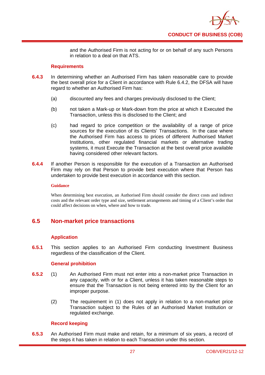

and the Authorised Firm is not acting for or on behalf of any such Persons in relation to a deal on that ATS.

## **Requirements**

- **6.4.3** In determining whether an Authorised Firm has taken reasonable care to provide the best overall price for a Client in accordance with Rule 6.4.2, the DFSA will have regard to whether an Authorised Firm has:
	- (a) discounted any fees and charges previously disclosed to the Client;
	- (b) not taken a Mark-up or Mark-down from the price at which it Executed the Transaction, unless this is disclosed to the Client; and
	- (c) had regard to price competition or the availability of a range of price sources for the execution of its Clients' Transactions. In the case where the Authorised Firm has access to prices of different Authorised Market Institutions, other regulated financial markets or alternative trading systems, it must Execute the Transaction at the best overall price available having considered other relevant factors.
- **6.4.4** If another Person is responsible for the execution of a Transaction an Authorised Firm may rely on that Person to provide best execution where that Person has undertaken to provide best execution in accordance with this section.

#### **Guidance**

When determining best execution, an Authorised Firm should consider the direct costs and indirect costs and the relevant order type and size, settlement arrangements and timing of a Client's order that could affect decisions on when, where and how to trade.

## **6.5 Non-market price transactions**

## **Application**

**6.5.1** This section applies to an Authorised Firm conducting Investment Business regardless of the classification of the Client.

## **General prohibition**

- **6.5.2** (1) An Authorised Firm must not enter into a non-market price Transaction in any capacity, with or for a Client, unless it has taken reasonable steps to ensure that the Transaction is not being entered into by the Client for an improper purpose.
	- (2) The requirement in (1) does not apply in relation to a non-market price Transaction subject to the Rules of an Authorised Market Institution or regulated exchange.

## **Record keeping**

**6.5.3** An Authorised Firm must make and retain, for a minimum of six years, a record of the steps it has taken in relation to each Transaction under this section.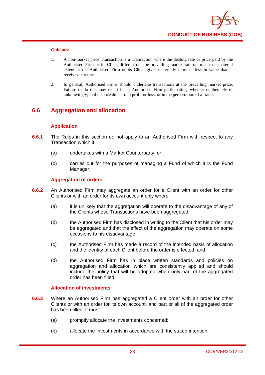

- 1. A non-market price Transaction is a Transaction where the dealing rate or price paid by the Authorised Firm or its Client differs from the prevailing market rate or price to a material extent or the Authorised Firm or its Client gives materially more or less in value than it receives in return.
- 2. In general, Authorised Firms should undertake transactions at the prevailing market price. Failure to do this may result in an Authorised Firm participating, whether deliberately or unknowingly, in the concealment of a profit or loss, or in the perpetration of a fraud.

## **6.6 Aggregation and allocation**

## **Application**

- **6.6.1** The Rules in this section do not apply to an Authorised Firm with respect to any Transaction which it:
	- (a) undertakes with a Market Counterparty; or
	- (b) carries out for the purposes of managing a Fund of which it is the Fund Manager.

#### **Aggregation of orders**

- **6.6.2** An Authorised Firm may aggregate an order for a Client with an order for other Clients or with an order for its own account only where:
	- (a) it is unlikely that the aggregation will operate to the disadvantage of any of the Clients whose Transactions have been aggregated;
	- (b) the Authorised Firm has disclosed in writing to the Client that his order may be aggregated and that the effect of the aggregation may operate on some occasions to his disadvantage;
	- (c) the Authorised Firm has made a record of the intended basis of allocation and the identity of each Client before the order is effected; and
	- (d) the Authorised Firm has in place written standards and policies on aggregation and allocation which are consistently applied and should include the policy that will be adopted when only part of the aggregated order has been filled.

#### **Allocation of investments**

- **6.6.3** Where an Authorised Firm has aggregated a Client order with an order for other Clients or with an order for its own account, and part or all of the aggregated order has been filled, it must:
	- (a) promptly allocate the Investments concerned;
	- (b) allocate the Investments in accordance with the stated intention;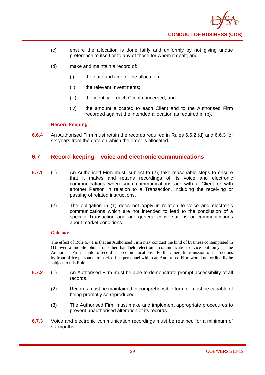

- (c) ensure the allocation is done fairly and uniformly by not giving undue preference to itself or to any of those for whom it dealt; and
- (d) make and maintain a record of:
	- (i) the date and time of the allocation;
	- (ii) the relevant Investments;
	- (iii) the identify of each Client concerned; and
	- (iv) the amount allocated to each Client and to the Authorised Firm recorded against the intended allocation as required in (b).

#### **Record keeping**

**6.6.4** An Authorised Firm must retain the records required in Rules 6.6.2 (d) and 6.6.3 for six years from the date on which the order is allocated.

## **6.7 Record keeping – voice and electronic communications**

- **6.7.1** (1) An Authorised Firm must, subject to (2), take reasonable steps to ensure that it makes and retains recordings of its voice and electronic communications when such communications are with a Client or with another Person in relation to a Transaction, including the receiving or passing of related instructions.
	- (2) The obligation in (1) does not apply in relation to voice and electronic communications which are not intended to lead to the conclusion of a specific Transaction and are general conversations or communications about market conditions.

### **Guidance**

The effect of Rule 6.7.1 is that an Authorised Firm may conduct the kind of business contemplated in (1) over a mobile phone or other handheld electronic communication device but only if the Authorised Firm is able to record such communications. Further, mere transmission of instructions by front office personnel to back office personnel within an Authorised Firm would not ordinarily be subject to this Rule.

- **6.7.2** (1) An Authorised Firm must be able to demonstrate prompt accessibility of all records.
	- (2) Records must be maintained in comprehensible form or must be capable of being promptly so reproduced.
	- (3) The Authorised Firm must make and implement appropriate procedures to prevent unauthorised alteration of its records.
- **6.7.3** Voice and electronic communication recordings must be retained for a minimum of six months.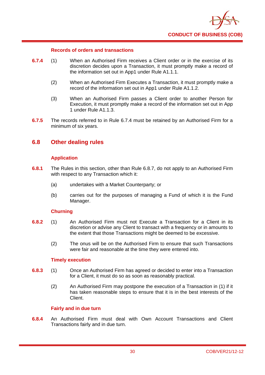

#### **Records of orders and transactions**

- **6.7.4** (1) When an Authorised Firm receives a Client order or in the exercise of its discretion decides upon a Transaction, it must promptly make a record of the information set out in App1 under Rule A1.1.1.
	- (2) When an Authorised Firm Executes a Transaction, it must promptly make a record of the information set out in App1 under Rule A1.1.2.
	- (3) When an Authorised Firm passes a Client order to another Person for Execution, it must promptly make a record of the information set out in App 1 under Rule A1.1.3.
- **6.7.5** The records referred to in Rule 6.7.4 must be retained by an Authorised Firm for a minimum of six years.

## **6.8 Other dealing rules**

#### **Application**

- **6.8.1** The Rules in this section, other than Rule 6.8.7, do not apply to an Authorised Firm with respect to any Transaction which it:
	- (a) undertakes with a Market Counterparty; or
	- (b) carries out for the purposes of managing a Fund of which it is the Fund Manager.

#### **Churning**

- **6.8.2** (1) An Authorised Firm must not Execute a Transaction for a Client in its discretion or advise any Client to transact with a frequency or in amounts to the extent that those Transactions might be deemed to be excessive.
	- (2) The onus will be on the Authorised Firm to ensure that such Transactions were fair and reasonable at the time they were entered into.

#### **Timely execution**

- **6.8.3** (1) Once an Authorised Firm has agreed or decided to enter into a Transaction for a Client, it must do so as soon as reasonably practical.
	- (2) An Authorised Firm may postpone the execution of a Transaction in (1) if it has taken reasonable steps to ensure that it is in the best interests of the Client.

#### **Fairly and in due turn**

**6.8.4** An Authorised Firm must deal with Own Account Transactions and Client Transactions fairly and in due turn.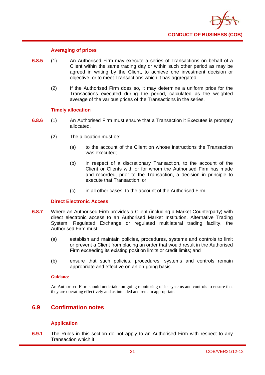

#### **Averaging of prices**

- **6.8.5** (1) An Authorised Firm may execute a series of Transactions on behalf of a Client within the same trading day or within such other period as may be agreed in writing by the Client, to achieve one investment decision or objective, or to meet Transactions which it has aggregated.
	- (2) If the Authorised Firm does so, it may determine a uniform price for the Transactions executed during the period, calculated as the weighted average of the various prices of the Transactions in the series.

#### **Timely allocation**

- **6.8.6** (1) An Authorised Firm must ensure that a Transaction it Executes is promptly allocated.
	- (2) The allocation must be:
		- (a) to the account of the Client on whose instructions the Transaction was executed;
		- (b) in respect of a discretionary Transaction, to the account of the Client or Clients with or for whom the Authorised Firm has made and recorded, prior to the Transaction, a decision in principle to execute that Transaction; or
		- (c) in all other cases, to the account of the Authorised Firm.

#### **Direct Electronic Access**

- **6.8.7** Where an Authorised Firm provides a Client (including a Market Counterparty) with direct electronic access to an Authorised Market Institution, Alternative Trading System, Regulated Exchange or regulated multilateral trading facility, the Authorised Firm must:
	- (a) establish and maintain policies, procedures, systems and controls to limit or prevent a Client from placing an order that would result in the Authorised Firm exceeding its existing position limits or credit limits; and
	- (b) ensure that such policies, procedures, systems and controls remain appropriate and effective on an on-going basis.

#### **Guidance**

An Authorised Firm should undertake on-going monitoring of its systems and controls to ensure that they are operating effectively and as intended and remain appropriate.

## **6.9 Confirmation notes**

#### **Application**

**6.9.1** The Rules in this section do not apply to an Authorised Firm with respect to any Transaction which it: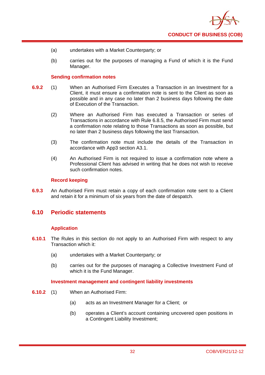

- (a) undertakes with a Market Counterparty; or
- (b) carries out for the purposes of managing a Fund of which it is the Fund Manager.

## **Sending confirmation notes**

- **6.9.2** (1) When an Authorised Firm Executes a Transaction in an Investment for a Client, it must ensure a confirmation note is sent to the Client as soon as possible and in any case no later than 2 business days following the date of Execution of the Transaction.
	- (2) Where an Authorised Firm has executed a Transaction or series of Transactions in accordance with Rule 6.8.5, the Authorised Firm must send a confirmation note relating to those Transactions as soon as possible, but no later than 2 business days following the last Transaction.
	- (3) The confirmation note must include the details of the Transaction in accordance with App3 section A3.1.
	- (4) An Authorised Firm is not required to issue a confirmation note where a Professional Client has advised in writing that he does not wish to receive such confirmation notes.

#### **Record keeping**

**6.9.3** An Authorised Firm must retain a copy of each confirmation note sent to a Client and retain it for a minimum of six years from the date of despatch.

## **6.10 Periodic statements**

## **Application**

- **6.10.1** The Rules in this section do not apply to an Authorised Firm with respect to any Transaction which it:
	- (a) undertakes with a Market Counterparty; or
	- (b) carries out for the purposes of managing a Collective Investment Fund of which it is the Fund Manager.

#### **Investment management and contingent liability investments**

- **6.10.2** (1) When an Authorised Firm:
	- (a) acts as an Investment Manager for a Client; or
	- (b) operates a Client's account containing uncovered open positions in a Contingent Liability Investment;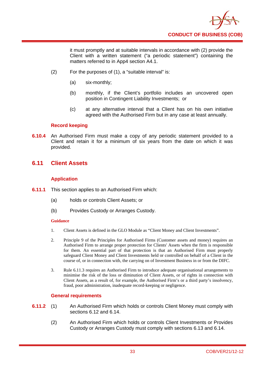

it must promptly and at suitable intervals in accordance with (2) provide the Client with a written statement ("a periodic statement") containing the matters referred to in App4 section A4.1.

- (2) For the purposes of (1), a "suitable interval" is:
	- (a) six-monthly;
	- (b) monthly, if the Client's portfolio includes an uncovered open position in Contingent Liability Investments; or
	- (c) at any alternative interval that a Client has on his own initiative agreed with the Authorised Firm but in any case at least annually.

## **Record keeping**

**6.10.4** An Authorised Firm must make a copy of any periodic statement provided to a Client and retain it for a minimum of six years from the date on which it was provided.

## **6.11 Client Assets**

## **Application**

- **6.11.1** This section applies to an Authorised Firm which:
	- (a) holds or controls Client Assets; or
	- (b) Provides Custody or Arranges Custody.

#### **Guidance**

- 1. Client Assets is defined in the GLO Module as "Client Money and Client Investments".
- 2. Principle 9 of the Principles for Authorised Firms (Customer assets and money) requires an Authorised Firm to arrange proper protection for Clients' Assets when the firm is responsible for them. An essential part of that protection is that an Authorised Firm must properly safeguard Client Money and Client Investments held or controlled on behalf of a Client in the course of, or in connection with, the carrying on of Investment Business in or from the DIFC.
- 3. Rule 6.11.3 requires an Authorised Firm to introduce adequate organisational arrangements to minimise the risk of the loss or diminution of Client Assets, or of rights in connection with Client Assets, as a result of, for example, the Authorised Firm's or a third party's insolvency, fraud, poor administration, inadequate record-keeping or negligence.

## **General requirements**

- **6.11.2** (1) An Authorised Firm which holds or controls Client Money must comply with sections 6.12 and 6.14.
	- (2) An Authorised Firm which holds or controls Client Investments or Provides Custody or Arranges Custody must comply with sections 6.13 and 6.14.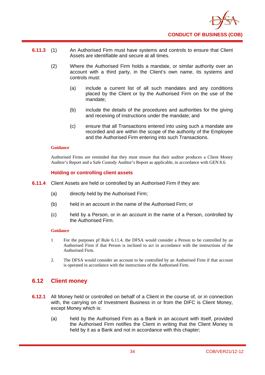

- **6.11.3** (1) An Authorised Firm must have systems and controls to ensure that Client Assets are identifiable and secure at all times.
	- (2) Where the Authorised Firm holds a mandate, or similar authority over an account with a third party, in the Client's own name, its systems and controls must:
		- (a) include a current list of all such mandates and any conditions placed by the Client or by the Authorised Firm on the use of the mandate;
		- (b) include the details of the procedures and authorities for the giving and receiving of instructions under the mandate; and
		- (c) ensure that all Transactions entered into using such a mandate are recorded and are within the scope of the authority of the Employee and the Authorised Firm entering into such Transactions.

Authorised Firms are reminded that they must ensure that their auditor produces a Client Money Auditor's Report and a Safe Custody Auditor's Report as applicable, in accordance with GEN 8.6.

#### **Holding or controlling client assets**

- **6.11.4** Client Assets are held or controlled by an Authorised Firm if they are:
	- (a) directly held by the Authorised Firm;
	- (b) held in an account in the name of the Authorised Firm; or
	- (c) held by a Person, or in an account in the name of a Person, controlled by the Authorised Firm.

#### **Guidance**

- 1 For the purposes pf Rule 6.11.4, the DFSA would consider a Person to be controlled by an Authorised Firm if that Person is inclined to act in accordance with the instructions of the Authorised Firm.
- 2. The DFSA would consider an account to be controlled by an Authorised Firm if that account is operated in accordance with the instructions of the Authorised Firm.

## **6.12 Client money**

- **6.12.1** All Money held or controlled on behalf of a Client in the course of, or in connection with, the carrying on of Investment Business in or from the DIFC is Client Money, except Money which is:
	- (a) held by the Authorised Firm as a Bank in an account with itself, provided the Authorised Firm notifies the Client in writing that the Client Money is held by it as a Bank and not in accordance with this chapter;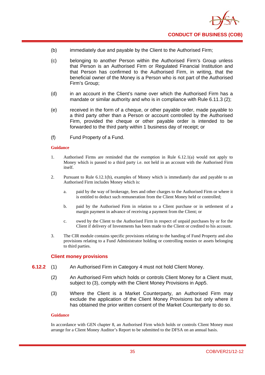

- (b) immediately due and payable by the Client to the Authorised Firm;
- (c) belonging to another Person within the Authorised Firm's Group unless that Person is an Authorised Firm or Regulated Financial Institution and that Person has confirmed to the Authorised Firm, in writing, that the beneficial owner of the Money is a Person who is not part of the Authorised Firm's Group;
- (d) in an account in the Client's name over which the Authorised Firm has a mandate or similar authority and who is in compliance with Rule 6.11.3 (2);
- (e) received in the form of a cheque, or other payable order, made payable to a third party other than a Person or account controlled by the Authorised Firm, provided the cheque or other payable order is intended to be forwarded to the third party within 1 business day of receipt; or
- (f) Fund Property of a Fund.

- 1. Authorised Firms are reminded that the exemption in Rule 6.12.1(a) would not apply to Money which is passed to a third party i.e. not held in an account with the Authorised Firm itself.
- 2. Pursuant to Rule 6.12.1(b), examples of Money which is immediately due and payable to an Authorised Firm includes Money which is:
	- a. paid by the way of brokerage, fees and other charges to the Authorised Firm or where it is entitled to deduct such remuneration from the Client Money held or controlled;
	- b. paid by the Authorised Firm in relation to a Client purchase or in settlement of a margin payment in advance of receiving a payment from the Client; or
	- c. owed by the Client to the Authorised Firm in respect of unpaid purchases by or for the Client if delivery of Investments has been made to the Client or credited to his account.
- 3. The CIR module contains specific provisions relating to the handing of Fund Property and also provisions relating to a Fund Administrator holding or controlling monies or assets belonging to third parties.

## **Client money provisions**

- **6.12.2** (1) An Authorised Firm in Category 4 must not hold Client Money.
	- (2) An Authorised Firm which holds or controls Client Money for a Client must, subject to (3), comply with the Client Money Provisions in App5.
	- (3) Where the Client is a Market Counterparty, an Authorised Firm may exclude the application of the Client Money Provisions but only where it has obtained the prior written consent of the Market Counterparty to do so.

#### **Guidance**

In accordance with GEN chapter 8, an Authorised Firm which holds or controls Client Money must arrange for a Client Money Auditor's Report to be submitted to the DFSA on an annual basis.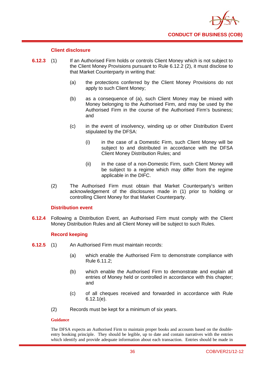

## **Client disclosure**

- **6.12.3** (1) If an Authorised Firm holds or controls Client Money which is not subject to the Client Money Provisions pursuant to Rule 6.12.2 (2), it must disclose to that Market Counterparty in writing that:
	- (a) the protections conferred by the Client Money Provisions do not apply to such Client Money;
	- (b) as a consequence of (a), such Client Money may be mixed with Money belonging to the Authorised Firm, and may be used by the Authorised Firm in the course of the Authorised Firm's business; and
	- (c) in the event of insolvency, winding up or other Distribution Event stipulated by the DFSA:
		- (i) in the case of a Domestic Firm, such Client Money will be subject to and distributed in accordance with the DFSA Client Money Distribution Rules; and
		- (ii) in the case of a non-Domestic Firm, such Client Money will be subject to a regime which may differ from the regime applicable in the DIFC.
	- (2) The Authorised Firm must obtain that Market Counterparty's written acknowledgement of the disclosures made in (1) prior to holding or controlling Client Money for that Market Counterparty.

## **Distribution event**

**6.12.4** Following a Distribution Event, an Authorised Firm must comply with the Client Money Distribution Rules and all Client Money will be subject to such Rules.

## **Record keeping**

- **6.12.5** (1) An Authorised Firm must maintain records:
	- (a) which enable the Authorised Firm to demonstrate compliance with Rule 6.11.2;
	- (b) which enable the Authorised Firm to demonstrate and explain all entries of Money held or controlled in accordance with this chapter; and
	- (c) of all cheques received and forwarded in accordance with Rule 6.12.1(e).
	- (2) Records must be kept for a minimum of six years.

#### **Guidance**

The DFSA expects an Authorised Firm to maintain proper books and accounts based on the doubleentry booking principle. They should be legible, up to date and contain narratives with the entries which identify and provide adequate information about each transaction. Entries should be made in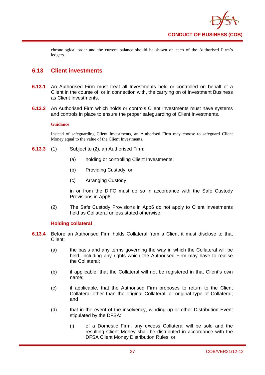

chronological order and the current balance should be shown on each of the Authorised Firm's ledgers.

## **6.13 Client investments**

- **6.13.1** An Authorised Firm must treat all Investments held or controlled on behalf of a Client in the course of, or in connection with, the carrying on of Investment Business as Client Investments.
- **6.13.2** An Authorised Firm which holds or controls Client Investments must have systems and controls in place to ensure the proper safeguarding of Client Investments.

#### **Guidance**

Instead of safeguarding Client Investments, an Authorised Firm may choose to safeguard Client Money equal to the value of the Client Investments.

- **6.13.3** (1) Subject to (2), an Authorised Firm:
	- (a) holding or controlling Client Investments;
	- (b) Providing Custody; or
	- (c) Arranging Custody

in or from the DIFC must do so in accordance with the Safe Custody Provisions in App6.

(2) The Safe Custody Provisions in App6 do not apply to Client Investments held as Collateral unless stated otherwise.

## **Holding collateral**

- **6.13.4** Before an Authorised Firm holds Collateral from a Client it must disclose to that Client:
	- (a) the basis and any terms governing the way in which the Collateral will be held, including any rights which the Authorised Firm may have to realise the Collateral;
	- (b) if applicable, that the Collateral will not be registered in that Client's own name;
	- (c) if applicable, that the Authorised Firm proposes to return to the Client Collateral other than the original Collateral, or original type of Collateral; and
	- (d) that in the event of the insolvency, winding up or other Distribution Event stipulated by the DFSA:
		- (i) of a Domestic Firm, any excess Collateral will be sold and the resulting Client Money shall be distributed in accordance with the DFSA Client Money Distribution Rules; or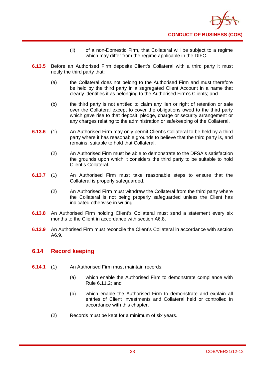

- (ii) of a non-Domestic Firm, that Collateral will be subject to a regime which may differ from the regime applicable in the DIFC.
- **6.13.5** Before an Authorised Firm deposits Client's Collateral with a third party it must notify the third party that:
	- (a) the Collateral does not belong to the Authorised Firm and must therefore be held by the third party in a segregated Client Account in a name that clearly identifies it as belonging to the Authorised Firm's Clients; and
	- (b) the third party is not entitled to claim any lien or right of retention or sale over the Collateral except to cover the obligations owed to the third party which gave rise to that deposit, pledge, charge or security arrangement or any charges relating to the administration or safekeeping of the Collateral.
- **6.13.6** (1) An Authorised Firm may only permit Client's Collateral to be held by a third party where it has reasonable grounds to believe that the third party is, and remains, suitable to hold that Collateral.
	- (2) An Authorised Firm must be able to demonstrate to the DFSA's satisfaction the grounds upon which it considers the third party to be suitable to hold Client's Collateral.
- **6.13.7** (1) An Authorised Firm must take reasonable steps to ensure that the Collateral is properly safeguarded.
	- (2) An Authorised Firm must withdraw the Collateral from the third party where the Collateral is not being properly safeguarded unless the Client has indicated otherwise in writing.
- **6.13.8** An Authorised Firm holding Client's Collateral must send a statement every six months to the Client in accordance with section A6.8.
- **6.13.9** An Authorised Firm must reconcile the Client's Collateral in accordance with section A6.9.

# **6.14 Record keeping**

- **6.14.1** (1) An Authorised Firm must maintain records:
	- (a) which enable the Authorised Firm to demonstrate compliance with Rule 6.11.2; and
	- (b) which enable the Authorised Firm to demonstrate and explain all entries of Client Investments and Collateral held or controlled in accordance with this chapter.
	- (2) Records must be kept for a minimum of six years.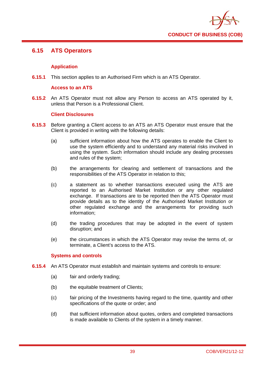

# **6.15 ATS Operators**

## **Application**

**6.15.1** This section applies to an Authorised Firm which is an ATS Operator.

## **Access to an ATS**

**6.15.2** An ATS Operator must not allow any Person to access an ATS operated by it, unless that Person is a Professional Client.

## **Client Disclosures**

- **6.15.3** Before granting a Client access to an ATS an ATS Operator must ensure that the Client is provided in writing with the following details:
	- (a) sufficient information about how the ATS operates to enable the Client to use the system efficiently and to understand any material risks involved in using the system. Such information should include any dealing processes and rules of the system;
	- (b) the arrangements for clearing and settlement of transactions and the responsibilities of the ATS Operator in relation to this;
	- (c) a statement as to whether transactions executed using the ATS are reported to an Authorised Market Institution or any other regulated exchange. If transactions are to be reported then the ATS Operator must provide details as to the identity of the Authorised Market Institution or other regulated exchange and the arrangements for providing such information;
	- (d) the trading procedures that may be adopted in the event of system disruption; and
	- (e) the circumstances in which the ATS Operator may revise the terms of, or terminate, a Client's access to the ATS.

## **Systems and controls**

- **6.15.4** An ATS Operator must establish and maintain systems and controls to ensure:
	- (a) fair and orderly trading;
	- (b) the equitable treatment of Clients:
	- (c) fair pricing of the Investments having regard to the time, quantity and other specifications of the quote or order; and
	- (d) that sufficient information about quotes, orders and completed transactions is made available to Clients of the system in a timely manner.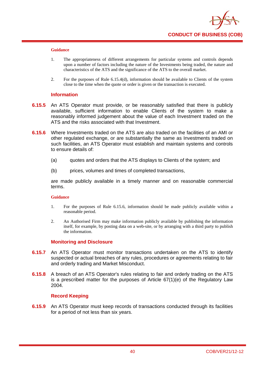

- 1. The appropriateness of different arrangements for particular systems and controls depends upon a number of factors including the nature of the Investments being traded, the nature and characteristics of the ATS and the significance of the ATS to the overall market.
- 2. For the purposes of Rule 6.15.4(d), information should be available to Clients of the system close to the time when the quote or order is given or the transaction is executed.

#### **Information**

- **6.15.5** An ATS Operator must provide, or be reasonably satisfied that there is publicly available, sufficient information to enable Clients of the system to make a reasonably informed judgement about the value of each Investment traded on the ATS and the risks associated with that Investment.
- **6.15.6** Where Investments traded on the ATS are also traded on the facilities of an AMI or other regulated exchange, or are substantially the same as Investments traded on such facilities, an ATS Operator must establish and maintain systems and controls to ensure details of:
	- (a) quotes and orders that the ATS displays to Clients of the system; and
	- (b) prices, volumes and times of completed transactions,

are made publicly available in a timely manner and on reasonable commercial terms.

#### **Guidance**

- 1. For the purposes of Rule 6.15.6, information should be made publicly available within a reasonable period.
- 2. An Authorised Firm may make information publicly available by publishing the information itself, for example, by posting data on a web-site, or by arranging with a third party to publish the information.

## **Monitoring and Disclosure**

- **6.15.7** An ATS Operator must monitor transactions undertaken on the ATS to identify suspected or actual breaches of any rules, procedures or agreements relating to fair and orderly trading and Market Misconduct.
- **6.15.8** A breach of an ATS Operator's rules relating to fair and orderly trading on the ATS is a prescribed matter for the purposes of Article 67(1)(e) of the Regulatory Law 2004.

## **Record Keeping**

**6.15.9** An ATS Operator must keep records of transactions conducted through its facilities for a period of not less than six years.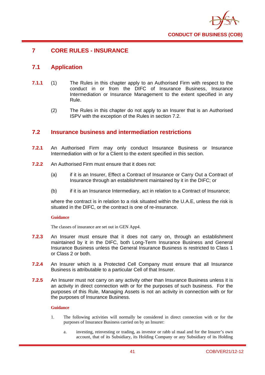

# **7 CORE RULES - INSURANCE**

# **7.1 Application**

- **7.1.1** (1) The Rules in this chapter apply to an Authorised Firm with respect to the conduct in or from the DIFC of Insurance Business, Insurance Intermediation or Insurance Management to the extent specified in any Rule.
	- (2) The Rules in this chapter do not apply to an Insurer that is an Authorised ISPV with the exception of the Rules in section 7.2.

## **7.2 Insurance business and intermediation restrictions**

- **7.2.1** An Authorised Firm may only conduct Insurance Business or Insurance Intermediation with or for a Client to the extent specified in this section.
- **7.2.2** An Authorised Firm must ensure that it does not:
	- (a) if it is an Insurer, Effect a Contract of Insurance or Carry Out a Contract of Insurance through an establishment maintained by it in the DIFC; or
	- (b) if it is an Insurance Intermediary, act in relation to a Contract of Insurance;

where the contract is in relation to a risk situated within the U.A.E, unless the risk is situated in the DIFC, or the contract is one of re-insurance.

## **Guidance**

The classes of insurance are set out in GEN App4.

- **7.2.3** An Insurer must ensure that it does not carry on, through an establishment maintained by it in the DIFC, both Long-Term Insurance Business and General Insurance Business unless the General Insurance Business is restricted to Class 1 or Class 2 or both.
- **7.2.4** An Insurer which is a Protected Cell Company must ensure that all Insurance Business is attributable to a particular Cell of that Insurer.
- **7.2.5** An Insurer must not carry on any activity other than Insurance Business unless it is an activity in direct connection with or for the purposes of such business. For the purposes of this Rule, Managing Assets is not an activity in connection with or for the purposes of Insurance Business.

## **Guidance**

- 1. The following activities will normally be considered in direct connection with or for the purposes of Insurance Business carried on by an Insurer:
	- a. investing, reinvesting or trading, as investor or rabb ul maal and for the Insurer's own account, that of its Subsidiary, its Holding Company or any Subsidiary of its Holding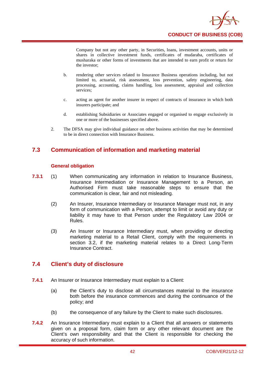

Company but not any other party, in Securities, loans, investment accounts, units or shares in collective investment funds, certificates of mudaraba, certificates of musharaka or other forms of investments that are intended to earn profit or return for the investor;

- b. rendering other services related to Insurance Business operations including, but not limited to, actuarial, risk assessment, loss prevention, safety engineering, data processing, accounting, claims handling, loss assessment, appraisal and collection services;
- c. acting as agent for another insurer in respect of contracts of insurance in which both insurers participate; and
- d. establishing Subsidiaries or Associates engaged or organised to engage exclusively in one or more of the businesses specified above.
- 2. The DFSA may give individual guidance on other business activities that may be determined to be in direct connection with Insurance Business.

# **7.3 Communication of information and marketing material**

## **General obligation**

- **7.3.1** (1) When communicating any information in relation to Insurance Business, Insurance Intermediation or Insurance Management to a Person, an Authorised Firm must take reasonable steps to ensure that the communication is clear, fair and not misleading.
	- (2) An Insurer, Insurance Intermediary or Insurance Manager must not, in any form of communication with a Person, attempt to limit or avoid any duty or liability it may have to that Person under the Regulatory Law 2004 or Rules.
	- (3) An Insurer or Insurance Intermediary must, when providing or directing marketing material to a Retail Client, comply with the requirements in section 3.2, if the marketing material relates to a Direct Long-Term Insurance Contract.

# **7.4 Client's duty of disclosure**

- **7.4.1** An Insurer or Insurance Intermediary must explain to a Client:
	- (a) the Client's duty to disclose all circumstances material to the insurance both before the insurance commences and during the continuance of the policy; and
	- (b) the consequence of any failure by the Client to make such disclosures.
- **7.4.2** An Insurance Intermediary must explain to a Client that all answers or statements given on a proposal form, claim form or any other relevant document are the Client's own responsibility and that the Client is responsible for checking the accuracy of such information.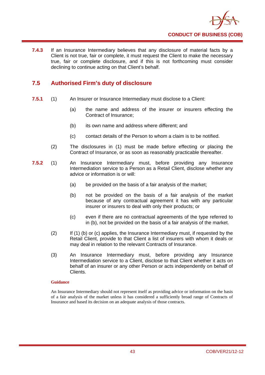

**7.4.3** If an Insurance Intermediary believes that any disclosure of material facts by a Client is not true, fair or complete, it must request the Client to make the necessary true, fair or complete disclosure, and if this is not forthcoming must consider declining to continue acting on that Client's behalf.

# **7.5 Authorised Firm's duty of disclosure**

- **7.5.1** (1) An Insurer or Insurance Intermediary must disclose to a Client:
	- (a) the name and address of the insurer or insurers effecting the Contract of Insurance;
	- (b) its own name and address where different; and
	- (c) contact details of the Person to whom a claim is to be notified.
	- (2) The disclosures in (1) must be made before effecting or placing the Contract of Insurance, or as soon as reasonably practicable thereafter.
- **7.5.2** (1) An Insurance Intermediary must, before providing any Insurance Intermediation service to a Person as a Retail Client, disclose whether any advice or information is or will:
	- (a) be provided on the basis of a fair analysis of the market;
	- (b) not be provided on the basis of a fair analysis of the market because of any contractual agreement it has with any particular insurer or insurers to deal with only their products; or
	- (c) even if there are no contractual agreements of the type referred to in (b), not be provided on the basis of a fair analysis of the market.
	- (2) If (1) (b) or (c) applies, the Insurance Intermediary must, if requested by the Retail Client, provide to that Client a list of insurers with whom it deals or may deal in relation to the relevant Contracts of Insurance.
	- (3) An Insurance Intermediary must, before providing any Insurance Intermediation service to a Client, disclose to that Client whether it acts on behalf of an insurer or any other Person or acts independently on behalf of Clients.

## **Guidance**

An Insurance Intermediary should not represent itself as providing advice or information on the basis of a fair analysis of the market unless it has considered a sufficiently broad range of Contracts of Insurance and based its decision on an adequate analysis of those contracts.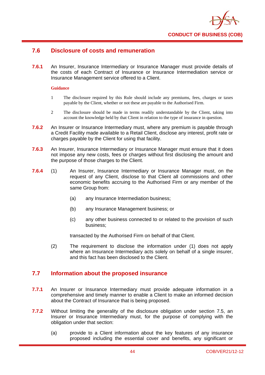

# **7.6 Disclosure of costs and remuneration**

**7.6.1** An Insurer, Insurance Intermediary or Insurance Manager must provide details of the costs of each Contract of Insurance or Insurance Intermediation service or Insurance Management service offered to a Client.

#### **Guidance**

- 1 The disclosure required by this Rule should include any premiums, fees, charges or taxes payable by the Client, whether or not these are payable to the Authorised Firm.
- 2 The disclosure should be made in terms readily understandable by the Client, taking into account the knowledge held by that Client in relation to the type of insurance in question.
- **7.6.2** An Insurer or Insurance Intermediary must, where any premium is payable through a Credit Facility made available to a Retail Client, disclose any interest, profit rate or charges payable by the Client for using that facility.
- **7.6.3** An Insurer, Insurance Intermediary or Insurance Manager must ensure that it does not impose any new costs, fees or charges without first disclosing the amount and the purpose of those charges to the Client.
- **7.6.4** (1) An Insurer, Insurance Intermediary or Insurance Manager must, on the request of any Client, disclose to that Client all commissions and other economic benefits accruing to the Authorised Firm or any member of the same Group from:
	- (a) any Insurance Intermediation business;
	- (b) any Insurance Management business; or
	- (c) any other business connected to or related to the provision of such business;

transacted by the Authorised Firm on behalf of that Client.

(2) The requirement to disclose the information under (1) does not apply where an Insurance Intermediary acts solely on behalf of a single insurer, and this fact has been disclosed to the Client.

## **7.7 Information about the proposed insurance**

- **7.7.1** An Insurer or Insurance Intermediary must provide adequate information in a comprehensive and timely manner to enable a Client to make an informed decision about the Contract of Insurance that is being proposed.
- **7.7.2** Without limiting the generality of the disclosure obligation under section 7.5, an Insurer or Insurance Intermediary must, for the purpose of complying with the obligation under that section:
	- (a) provide to a Client information about the key features of any insurance proposed including the essential cover and benefits, any significant or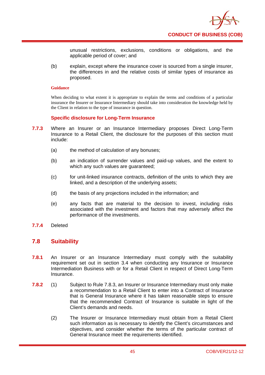

unusual restrictions, exclusions, conditions or obligations, and the applicable period of cover; and

(b) explain, except where the insurance cover is sourced from a single insurer, the differences in and the relative costs of similar types of insurance as proposed.

#### **Guidance**

When deciding to what extent it is appropriate to explain the terms and conditions of a particular insurance the Insurer or Insurance Intermediary should take into consideration the knowledge held by the Client in relation to the type of insurance in question.

#### **Specific disclosure for Long-Term Insurance**

- **7.7.3** Where an Insurer or an Insurance Intermediary proposes Direct Long-Term Insurance to a Retail Client, the disclosure for the purposes of this section must include:
	- (a) the method of calculation of any bonuses;
	- (b) an indication of surrender values and paid-up values, and the extent to which any such values are guaranteed;
	- (c) for unit-linked insurance contracts, definition of the units to which they are linked, and a description of the underlying assets;
	- (d) the basis of any projections included in the information; and
	- (e) any facts that are material to the decision to invest, including risks associated with the investment and factors that may adversely affect the performance of the investments.
- **7.7.4** Deleted

## **7.8 Suitability**

- **7.8.1** An Insurer or an Insurance Intermediary must comply with the suitability requirement set out in section 3.4 when conducting any Insurance or Insurance Intermediation Business with or for a Retail Client in respect of Direct Long-Term Insurance.
- **7.8.2** (1) Subject to Rule 7.8.3, an Insurer or Insurance Intermediary must only make a recommendation to a Retail Client to enter into a Contract of Insurance that is General Insurance where it has taken reasonable steps to ensure that the recommended Contract of Insurance is suitable in light of the Client's demands and needs.
	- (2) The Insurer or Insurance Intermediary must obtain from a Retail Client such information as is necessary to identify the Client's circumstances and objectives, and consider whether the terms of the particular contract of General Insurance meet the requirements identified.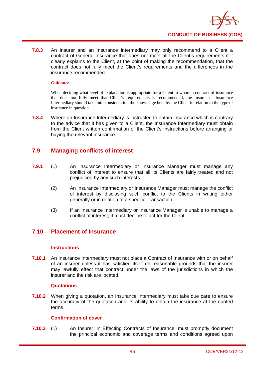

**7.8.3** An Insurer and an Insurance Intermediary may only recommend to a Client a contract of General Insurance that does not meet all the Client's requirements if it clearly explains to the Client, at the point of making the recommendation, that the contract does not fully meet the Client's requirements and the differences in the insurance recommended.

#### **Guidance**

When deciding what level of explanation is appropriate for a Client to whom a contract of insurance that does not fully meet that Client's requirements is recommended, the Insurer or Insurance Intermediary should take into consideration the knowledge held by the Client in relation to the type of insurance in question.

**7.8.4** Where an Insurance Intermediary is instructed to obtain insurance which is contrary to the advice that it has given to a Client, the Insurance Intermediary must obtain from the Client written confirmation of the Client's instructions before arranging or buying the relevant insurance.

# **7.9 Managing conflicts of interest**

- **7.9.1** (1) An Insurance Intermediary or Insurance Manager must manage any conflict of interest to ensure that all its Clients are fairly treated and not prejudiced by any such interests.
	- (2) An Insurance Intermediary or Insurance Manager must manage the conflict of interest by disclosing such conflict to the Clients in writing either generally or in relation to a specific Transaction.
	- (3) If an Insurance Intermediary or Insurance Manager is unable to manage a conflict of interest, it must decline to act for the Client.

# **7.10 Placement of Insurance**

## **Instructions**

**7.10.1** An Insurance Intermediary must not place a Contract of Insurance with or on behalf of an insurer unless it has satisfied itself on reasonable grounds that the insurer may lawfully effect that contract under the laws of the jurisdictions in which the insurer and the risk are located.

## **Quotations**

**7.10.2** When giving a quotation, an Insurance Intermediary must take due care to ensure the accuracy of the quotation and its ability to obtain the insurance at the quoted terms.

## **Confirmation of cover**

**7.10.3** (1) An Insurer, in Effecting Contracts of Insurance, must promptly document the principal economic and coverage terms and conditions agreed upon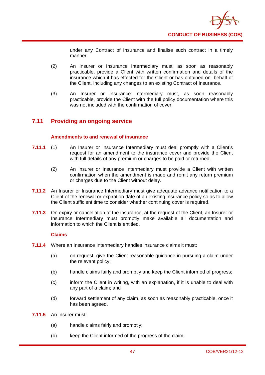

under any Contract of Insurance and finalise such contract in a timely manner.

- (2) An Insurer or Insurance Intermediary must, as soon as reasonably practicable, provide a Client with written confirmation and details of the insurance which it has effected for the Client or has obtained on behalf of the Client, including any changes to an existing Contract of Insurance.
- (3) An Insurer or Insurance Intermediary must, as soon reasonably practicable, provide the Client with the full policy documentation where this was not included with the confirmation of cover.

# **7.11 Providing an ongoing service**

## **Amendments to and renewal of insurance**

- **7.11.1** (1) An Insurer or Insurance Intermediary must deal promptly with a Client's request for an amendment to the insurance cover and provide the Client with full details of any premium or charges to be paid or returned.
	- (2) An Insurer or Insurance Intermediary must provide a Client with written confirmation when the amendment is made and remit any return premium or charges due to the Client without delay.
- **7.11.2** An Insurer or Insurance Intermediary must give adequate advance notification to a Client of the renewal or expiration date of an existing insurance policy so as to allow the Client sufficient time to consider whether continuing cover is required.
- **7.11.3** On expiry or cancellation of the insurance, at the request of the Client, an Insurer or Insurance Intermediary must promptly make available all documentation and information to which the Client is entitled.

## **Claims**

- **7.11.4** Where an Insurance Intermediary handles insurance claims it must:
	- (a) on request, give the Client reasonable guidance in pursuing a claim under the relevant policy;
	- (b) handle claims fairly and promptly and keep the Client informed of progress;
	- (c) inform the Client in writing, with an explanation, if it is unable to deal with any part of a claim; and
	- (d) forward settlement of any claim, as soon as reasonably practicable, once it has been agreed.
- **7.11.5** An Insurer must:
	- (a) handle claims fairly and promptly;
	- (b) keep the Client informed of the progress of the claim;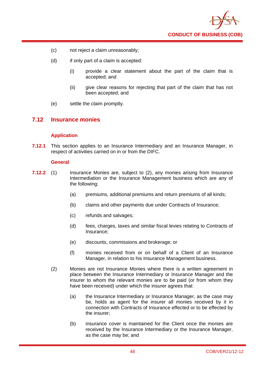

- (c) not reject a claim unreasonably;
- (d) if only part of a claim is accepted:
	- (i) provide a clear statement about the part of the claim that is accepted; and
	- (ii) give clear reasons for rejecting that part of the claim that has not been accepted; and
- (e) settle the claim promptly.

## **7.12 Insurance monies**

## **Application**

**7.12.1** This section applies to an Insurance Intermediary and an Insurance Manager, in respect of activities carried on in or from the DIFC.

#### **General**

- **7.12.2** (1) Insurance Monies are, subject to (2), any monies arising from Insurance Intermediation or the Insurance Management business which are any of the following:
	- (a) premiums, additional premiums and return premiums of all kinds;
	- (b) claims and other payments due under Contracts of Insurance;
	- (c) refunds and salvages;
	- (d) fees, charges, taxes and similar fiscal levies relating to Contracts of Insurance;
	- (e) discounts, commissions and brokerage; or
	- (f) monies received from or on behalf of a Client of an Insurance Manager, in relation to his Insurance Management business.
	- (2) Monies are not Insurance Monies where there is a written agreement in place between the Insurance Intermediary or Insurance Manager and the insurer to whom the relevant monies are to be paid (or from whom they have been received) under which the insurer agrees that:
		- (a) the Insurance Intermediary or Insurance Manager, as the case may be, holds as agent for the insurer all monies received by it in connection with Contracts of Insurance effected or to be effected by the insurer;
		- (b) insurance cover is maintained for the Client once the monies are received by the Insurance Intermediary or the Insurance Manager, as the case may be; and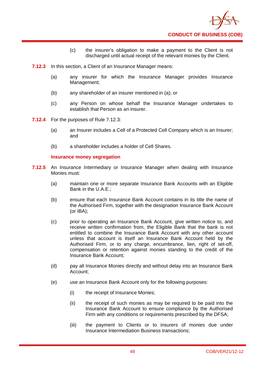

- (c) the insurer's obligation to make a payment to the Client is not discharged until actual receipt of the relevant monies by the Client.
- **7.12.3** In this section, a Client of an Insurance Manager means:
	- (a) any insurer for which the Insurance Manager provides Insurance Management;
	- (b) any shareholder of an insurer mentioned in (a); or
	- (c) any Person on whose behalf the Insurance Manager undertakes to establish that Person as an insurer.
- **7.12.4** For the purposes of Rule 7.12.3:
	- (a) an Insurer includes a Cell of a Protected Cell Company which is an Insurer; and
	- (b) a shareholder includes a holder of Cell Shares.

## **Insurance money segregation**

- **7.12.5** An Insurance Intermediary or Insurance Manager when dealing with Insurance Monies must:
	- (a) maintain one or more separate Insurance Bank Accounts with an Eligible Bank in the U.A.E.;
	- (b) ensure that each Insurance Bank Account contains in its title the name of the Authorised Firm, together with the designation Insurance Bank Account (or IBA);
	- (c) prior to operating an Insurance Bank Account, give written notice to, and receive written confirmation from, the Eligible Bank that the bank is not entitled to combine the Insurance Bank Account with any other account unless that account is itself an Insurance Bank Account held by the Authorised Firm, or to any charge, encumbrance, lien, right of set-off, compensation or retention against monies standing to the credit of the Insurance Bank Account;
	- (d) pay all Insurance Monies directly and without delay into an Insurance Bank Account;
	- (e) use an Insurance Bank Account only for the following purposes:
		- (i) the receipt of Insurance Monies;
		- (ii) the receipt of such monies as may be required to be paid into the Insurance Bank Account to ensure compliance by the Authorised Firm with any conditions or requirements prescribed by the DFSA;
		- (iii) the payment to Clients or to insurers of monies due under Insurance Intermediation Business transactions;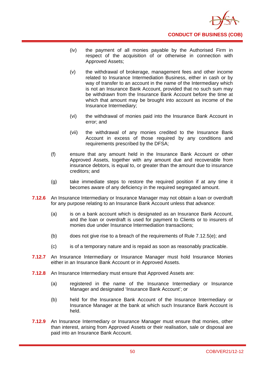

- (iv) the payment of all monies payable by the Authorised Firm in respect of the acquisition of or otherwise in connection with Approved Assets;
- (v) the withdrawal of brokerage, management fees and other income related to Insurance Intermediation Business, either in cash or by way of transfer to an account in the name of the Intermediary which is not an Insurance Bank Account, provided that no such sum may be withdrawn from the Insurance Bank Account before the time at which that amount may be brought into account as income of the Insurance Intermediary;
- (vi) the withdrawal of monies paid into the Insurance Bank Account in error; and
- (vii) the withdrawal of any monies credited to the Insurance Bank Account in excess of those required by any conditions and requirements prescribed by the DFSA;
- (f) ensure that any amount held in the Insurance Bank Account or other Approved Assets, together with any amount due and recoverable from insurance debtors, is equal to, or greater than the amount due to insurance creditors; and
- (g) take immediate steps to restore the required position if at any time it becomes aware of any deficiency in the required segregated amount.
- **7.12.6** An Insurance Intermediary or Insurance Manager may not obtain a loan or overdraft for any purpose relating to an Insurance Bank Account unless that advance:
	- (a) is on a bank account which is designated as an Insurance Bank Account, and the loan or overdraft is used for payment to Clients or to insurers of monies due under Insurance Intermediation transactions;
	- (b) does not give rise to a breach of the requirements of Rule 7.12.5(e); and
	- (c) is of a temporary nature and is repaid as soon as reasonably practicable.
- **7.12.7** An Insurance Intermediary or Insurance Manager must hold Insurance Monies either in an Insurance Bank Account or in Approved Assets.
- **7.12.8** An Insurance Intermediary must ensure that Approved Assets are:
	- (a) registered in the name of the Insurance Intermediary or Insurance Manager and designated 'Insurance Bank Account'; or
	- (b) held for the Insurance Bank Account of the Insurance Intermediary or Insurance Manager at the bank at which such Insurance Bank Account is held.
- **7.12.9** An Insurance Intermediary or Insurance Manager must ensure that monies, other than interest, arising from Approved Assets or their realisation, sale or disposal are paid into an Insurance Bank Account.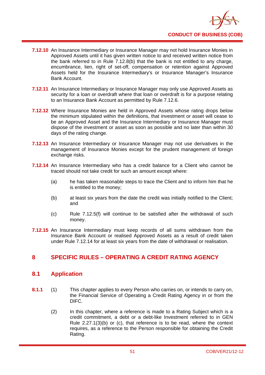

- **7.12.10** An Insurance Intermediary or Insurance Manager may not hold Insurance Monies in Approved Assets until it has given written notice to and received written notice from the bank referred to in Rule 7.12.8(b) that the bank is not entitled to any charge, encumbrance, lien, right of set-off, compensation or retention against Approved Assets held for the Insurance Intermediary's or Insurance Manager's Insurance Bank Account.
- **7.12.11** An Insurance Intermediary or Insurance Manager may only use Approved Assets as security for a loan or overdraft where that loan or overdraft is for a purpose relating to an Insurance Bank Account as permitted by Rule 7.12.6.
- **7.12.12** Where Insurance Monies are held in Approved Assets whose rating drops below the minimum stipulated within the definitions, that investment or asset will cease to be an Approved Asset and the Insurance Intermediary or Insurance Manager must dispose of the investment or asset as soon as possible and no later than within 30 days of the rating change.
- **7.12.13** An Insurance Intermediary or Insurance Manager may not use derivatives in the management of Insurance Monies except for the prudent management of foreign exchange risks.
- **7.12.14** An Insurance Intermediary who has a credit balance for a Client who cannot be traced should not take credit for such an amount except where:
	- (a) he has taken reasonable steps to trace the Client and to inform him that he is entitled to the money;
	- (b) at least six years from the date the credit was initially notified to the Client; and
	- (c) Rule 7.12.5(f) will continue to be satisfied after the withdrawal of such money.
- **7.12.15** An Insurance Intermediary must keep records of all sums withdrawn from the Insurance Bank Account or realised Approved Assets as a result of credit taken under Rule 7.12.14 for at least six years from the date of withdrawal or realisation.

# **8 SPECIFIC RULES – OPERATING A CREDIT RATING AGENCY**

## **8.1 Application**

- **8.1.1** (1) This chapter applies to every Person who carries on, or intends to carry on, the Financial Service of Operating a Credit Rating Agency in or from the DIFC.
	- (2) In this chapter, where a reference is made to a Rating Subject which is a credit commitment, a debt or a debt-like Investment referred to in GEN Rule 2.27.1(3)(b) or (c), that reference is to be read, where the context requires, as a reference to the Person responsible for obtaining the Credit Rating.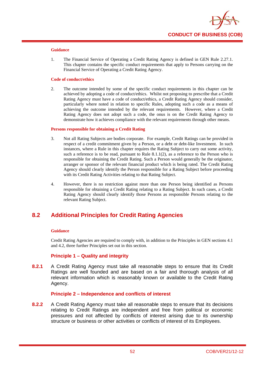

1. The Financial Service of Operating a Credit Rating Agency is defined in GEN Rule 2.27.1. This chapter contains the specific conduct requirements that apply to Persons carrying on the Financial Service of Operating a Credit Rating Agency.

#### **Code of conduct/ethics**

2. The outcome intended by some of the specific conduct requirements in this chapter can be achieved by adopting a code of conduct/ethics. Whilst not proposing to prescribe that a Credit Rating Agency must have a code of conduct/ethics, a Credit Rating Agency should consider, particularly where noted in relation to specific Rules, adopting such a code as a means of achieving the outcome intended by the relevant requirements. However, where a Credit Rating Agency does not adopt such a code, the onus is on the Credit Rating Agency to demonstrate how it achieves compliance with the relevant requirements through other means.

#### **Persons responsible for obtaining a Credit Rating**

- 3. Not all Rating Subjects are bodies corporate. For example, Credit Ratings can be provided in respect of a credit commitment given by a Person, or a debt or debt-like Investment. In such instances, where a Rule in this chapter requires the Rating Subject to carry out some activity, such a reference is to be read, pursuant to Rule  $8.1.1(2)$ , as a reference to the Person who is responsible for obtaining the Credit Rating. Such a Person would generally be the originator, arranger or sponsor of the relevant financial product which is being rated. The Credit Rating Agency should clearly identify the Person responsible for a Rating Subject before proceeding with its Credit Rating Activities relating to that Rating Subject.
- 4. However, there is no restriction against more than one Person being identified as Persons responsible for obtaining a Credit Rating relating to a Rating Subject. In such cases, a Credit Rating Agency should clearly identify those Persons as responsible Persons relating to the relevant Rating Subject.

# **8.2 Additional Principles for Credit Rating Agencies**

#### **Guidance**

Credit Rating Agencies are required to comply with, in addition to the Principles in GEN sections 4.1 and 4.2, three further Principles set out in this section.

## **Principle 1 – Quality and integrity**

**8.2.1** A Credit Rating Agency must take all reasonable steps to ensure that its Credit Ratings are well founded and are based on a fair and thorough analysis of all relevant information which is reasonably known or available to the Credit Rating Agency.

## **Principle 2 – Independence and conflicts of interest**

**8.2.2** A Credit Rating Agency must take all reasonable steps to ensure that its decisions relating to Credit Ratings are independent and free from political or economic pressures and not affected by conflicts of interest arising due to its ownership structure or business or other activities or conflicts of interest of its Employees.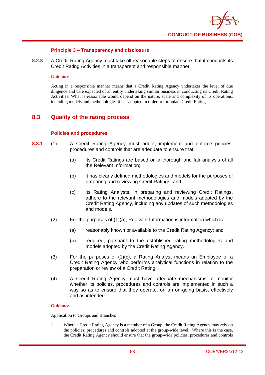

## **Principle 3 – Transparency and disclosure**

**8.2.3** A Credit Rating Agency must take all reasonable steps to ensure that it conducts its Credit Rating Activities in a transparent and responsible manner.

#### **Guidance**

Acting in a responsible manner means that a Credit Rating Agency undertakes the level of due diligence and care expected of an entity undertaking similar business in conducting its Credit Rating Activities. What is reasonable would depend on the nature, scale and complexity of its operations, including models and methodologies it has adopted in order to formulate Credit Ratings.

## **8.3 Quality of the rating process**

## **Policies and procedures**

- **8.3.1** (1) A Credit Rating Agency must adopt, implement and enforce policies, procedures and controls that are adequate to ensure that:
	- (a) its Credit Ratings are based on a thorough and fair analysis of all the Relevant Information;
	- (b) it has clearly defined methodologies and models for the purposes of preparing and reviewing Credit Ratings; and
	- (c) its Rating Analysts, in preparing and reviewing Credit Ratings, adhere to the relevant methodologies and models adopted by the Credit Rating Agency, including any updates of such methodologies and models.
	- $(2)$  For the purposes of  $(1)(a)$ , Relevant Information is information which is:
		- (a) reasonably known or available to the Credit Rating Agency; and
		- (b) required, pursuant to the established rating methodologies and models adopted by the Credit Rating Agency.
	- (3) For the purposes of (1)(c), a Rating Analyst means an Employee of a Credit Rating Agency who performs analytical functions in relation to the preparation or review of a Credit Rating.
	- (4) A Credit Rating Agency must have adequate mechanisms to monitor whether its policies, procedures and controls are implemented in such a way so as to ensure that they operate, on an on-going basis, effectively and as intended.

#### **Guidance**

Application to Groups and Branches

1. Where a Credit Rating Agency is a member of a Group, the Credit Rating Agency may rely on the policies, procedures and controls adopted at the group-wide level. Where this is the case, the Credit Rating Agency should ensure that the group-wide policies, procedures and controls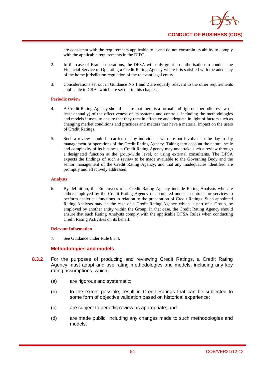are consistent with the requirements applicable to it and do not constrain its ability to comply with the applicable requirements in the DIFC.

- 2. In the case of Branch operations, the DFSA will only grant an authorisation to conduct the Financial Service of Operating a Credit Rating Agency where it is satisfied with the adequacy of the home jurisdiction regulation of the relevant legal entity.
- 3. Considerations set out in Guidance No 1 and 2 are equally relevant to the other requirements applicable to CRAs which are set out in this chapter.

#### **Periodic review**

- 4. A Credit Rating Agency should ensure that there is a formal and rigorous periodic review (at least annually) of the effectiveness of its systems and controls, including the methodologies and models it uses, to ensure that they remain effective and adequate in light of factors such as changing market conditions and practices and matters that have a material impact on the users of Credit Ratings.
- 5. Such a review should be carried out by individuals who are not involved in the day-to-day management or operations of the Credit Rating Agency. Taking into account the nature, scale and complexity of its business, a Credit Rating Agency may undertake such a review through a designated function at the group-wide level, or using external consultants. The DFSA expects the findings of such a review to be made available to the Governing Body and the senior management of the Credit Rating Agency, and that any inadequacies identified are promptly and effectively addressed.

#### **Analysts**

6. By definition, the Employees of a Credit Rating Agency include Rating Analysts who are either employed by the Credit Rating Agency or appointed under a contract for services to perform analytical functions in relation to the preparation of Credit Ratings. Such appointed Rating Analysts may, in the case of a Credit Rating Agency which is part of a Group, be employed by another entity within the Group. In that case, the Credit Rating Agency should ensure that such Rating Analysts comply with the applicable DFSA Rules when conducting Credit Rating Activities on its behalf.

## **Relevant Information**

7. See Guidance under Rule 8.3.4.

## **Methodologies and models**

- **8.3.2** For the purposes of producing and reviewing Credit Ratings, a Credit Rating Agency must adopt and use rating methodologies and models, including any key rating assumptions, which:
	- (a) are rigorous and systematic;
	- (b) to the extent possible, result in Credit Ratings that can be subjected to some form of objective validation based on historical experience;
	- (c) are subject to periodic review as appropriate; and
	- (d) are made public, including any changes made to such methodologies and models.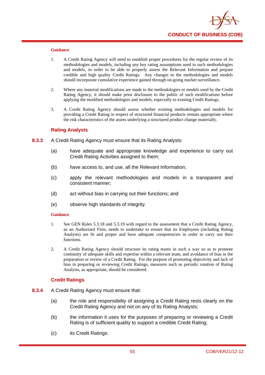

- 1. A Credit Rating Agency will need to establish proper procedures for the regular review of its methodologies and models, including any key rating assumptions used in such methodologies and models, in order to be able to properly assess the Relevant Information and prepare credible and high quality Credit Ratings. Any changes to the methodologies and models should incorporate cumulative experience gained through on-going market surveillance.
- 2. Where any material modifications are made to the methodologies or models used by the Credit Rating Agency, it should make prior disclosure to the public of such modifications before applying the modified methodologies and models, especially to existing Credit Ratings.
- 3. A Credit Rating Agency should assess whether existing methodologies and models for providing a Credit Rating in respect of structured financial products remain appropriate where the risk characteristics of the assets underlying a structured product change materially.

#### **Rating Analysts**

- **8.3.3** A Credit Rating Agency must ensure that its Rating Analysts:
	- (a) have adequate and appropriate knowledge and experience to carry out Credit Rating Activities assigned to them;
	- (b) have access to, and use, all the Relevant Information;
	- (c) apply the relevant methodologies and models in a transparent and consistent manner;
	- (d) act without bias in carrying out their functions; and
	- (e) observe high standards of integrity.

#### **Guidance**

- 1. See GEN Rules 5.3.18 and 5.3.19 with regard to the assessment that a Credit Rating Agency, as an Authorised Firm, needs to undertake to ensure that its Employees (including Rating Analysts) are fit and proper and have adequate competencies in order to carry out their functions.
- 2. A Credit Rating Agency should structure its rating teams in such a way so as to promote continuity of adequate skills and expertise within a relevant team, and avoidance of bias in the preparation or review of a Credit Rating. For the purpose of promoting objectivity and lack of bias in preparing or reviewing Credit Ratings, measures such as periodic rotation of Rating Analysts, as appropriate, should be considered.

## **Credit Ratings**

- **8.3.4** A Credit Rating Agency must ensure that:
	- (a) the role and responsibility of assigning a Credit Rating rests clearly on the Credit Rating Agency and not on any of its Rating Analysts;
	- (b) the information it uses for the purposes of preparing or reviewing a Credit Rating is of sufficient quality to support a credible Credit Rating;
	- (c) its Credit Ratings: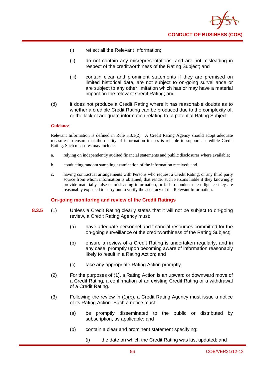

- (i) reflect all the Relevant Information;
- (ii) do not contain any misrepresentations, and are not misleading in respect of the creditworthiness of the Rating Subject; and
- (iii) contain clear and prominent statements if they are premised on limited historical data, are not subject to on-going surveillance or are subject to any other limitation which has or may have a material impact on the relevant Credit Rating; and
- (d) it does not produce a Credit Rating where it has reasonable doubts as to whether a credible Credit Rating can be produced due to the complexity of, or the lack of adequate information relating to, a potential Rating Subject.

Relevant Information is defined in Rule 8.3.1(2). A Credit Rating Agency should adopt adequate measures to ensure that the quality of information it uses is reliable to support a credible Credit Rating. Such measures may include:

- a. relying on independently audited financial statements and public disclosures where available;
- b. conducting random sampling examination of the information received; and
- c. having contractual arrangements with Persons who request a Credit Rating, or any third party source from whom information is obtained, that render such Persons liable if they knowingly provide materially false or misleading information, or fail to conduct due diligence they are reasonably expected to carry out to verify the accuracy of the Relevant Information.

## **On-going monitoring and review of the Credit Ratings**

- **8.3.5** (1) Unless a Credit Rating clearly states that it will not be subject to on-going review, a Credit Rating Agency must:
	- (a) have adequate personnel and financial resources committed for the on-going surveillance of the creditworthiness of the Rating Subject;
	- (b) ensure a review of a Credit Rating is undertaken regularly, and in any case, promptly upon becoming aware of information reasonably likely to result in a Rating Action; and
	- (c) take any appropriate Rating Action promptly.
	- (2) For the purposes of (1), a Rating Action is an upward or downward move of a Credit Rating, a confirmation of an existing Credit Rating or a withdrawal of a Credit Rating.
	- (3) Following the review in (1)(b), a Credit Rating Agency must issue a notice of its Rating Action. Such a notice must:
		- (a) be promptly disseminated to the public or distributed by subscription, as applicable; and
		- (b) contain a clear and prominent statement specifying:
			- (i) the date on which the Credit Rating was last updated; and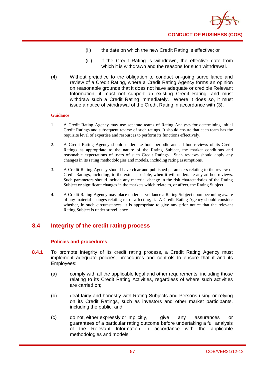

- (ii) the date on which the new Credit Rating is effective; or
- (iii) if the Credit Rating is withdrawn, the effective date from which it is withdrawn and the reasons for such withdrawal.
- (4) Without prejudice to the obligation to conduct on-going surveillance and review of a Credit Rating, where a Credit Rating Agency forms an opinion on reasonable grounds that it does not have adequate or credible Relevant Information, it must not support an existing Credit Rating, and must withdraw such a Credit Rating immediately. Where it does so, it must issue a notice of withdrawal of the Credit Rating in accordance with (3).

- 1. A Credit Rating Agency may use separate teams of Rating Analysts for determining initial Credit Ratings and subsequent review of such ratings. It should ensure that each team has the requisite level of expertise and resources to perform its functions effectively.
- 2. A Credit Rating Agency should undertake both periodic and ad hoc reviews of its Credit Ratings as appropriate to the nature of the Rating Subject, the market conditions and reasonable expectations of users of such Credit Ratings. Such reviews should apply any changes in its rating methodologies and models, including rating assumptions.
- 3. A Credit Rating Agency should have clear and published parameters relating to the review of Credit Ratings, including, to the extent possible, when it will undertake any ad hoc reviews. Such parameters should include any material change in the risk characteristics of the Rating Subject or significant changes in the markets which relate to, or affect, the Rating Subject.
- 4. A Credit Rating Agency may place under surveillance a Rating Subject upon becoming aware of any material changes relating to, or affecting, it. A Credit Rating Agency should consider whether, in such circumstances, it is appropriate to give any prior notice that the relevant Rating Subject is under surveillance.

## **8.4 Integrity of the credit rating process**

## **Polic**i**es and procedures**

- 8.4.1 To promote integrity of its credit rating process, a Credit Rating Agency must implement adequate policies, procedures and controls to ensure that it and its Employees:
	- (a) comply with all the applicable legal and other requirements, including those relating to its Credit Rating Activities, regardless of where such activities are carried on;
	- (b) deal fairly and honestly with Rating Subjects and Persons using or relying on its Credit Ratings, such as investors and other market participants, including the public; and
	- (c) do not, either expressly or implicitly, give any assurances or guarantees of a particular rating outcome before undertaking a full analysis of the Relevant Information in accordance with the applicable methodologies and models.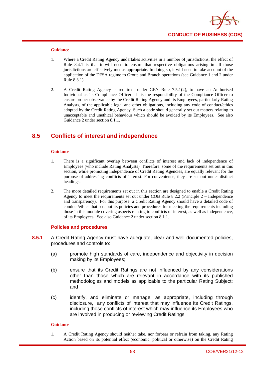

- 1. Where a Credit Rating Agency undertakes activities in a number of jurisdictions, the effect of Rule 8.4.1 is that it will need to ensure that respective obligations arising in all those jurisdictions are effectively met as appropriate. In doing so, it will need to take account of the application of the DFSA regime to Group and Branch operations (see Guidance 1 and 2 under Rule 8.3.1).
- 2. A Credit Rating Agency is required, under GEN Rule 7.5.1(2), to have an Authorised Individual as its Compliance Officer. It is the responsibility of the Compliance Officer to ensure proper observance by the Credit Rating Agency and its Employees, particularly Rating Analysts, of the applicable legal and other obligations, including any code of conduct/ethics adopted by the Credit Rating Agency. Such a code should generally set out matters relating to unacceptable and unethical behaviour which should be avoided by its Employees. See also Guidance 2 under section 8.1.1.

# **8.5 Conflicts of interest and independence**

#### **Guidance**

- 1. There is a significant overlap between conflicts of interest and lack of independence of Employees (who include Rating Analysts). Therefore, some of the requirements set out in this section, while promoting independence of Credit Rating Agencies, are equally relevant for the purpose of addressing conflicts of interest. For convenience, they are set out under distinct headings.
- 2. The more detailed requirements set out in this section are designed to enable a Credit Rating Agency to meet the requirements set out under COB Rule 8.2.2 (Principle 2 – Independence and transparency). For this purpose, a Credit Rating Agency should have a detailed code of conduct/ethics that sets out its policies and procedures for meeting the requirements including those in this module covering aspects relating to conflicts of interest, as well as independence, of its Employees. See also Guidance 2 under section 8.1.1.

#### **Policies and procedures**

- **8.5.1** A Credit Rating Agency must have adequate, clear and well documented policies, procedures and controls to:
	- (a) promote high standards of care, independence and objectivity in decision making by its Employees;
	- (b) ensure that its Credit Ratings are not influenced by any considerations other than those which are relevant in accordance with its published methodologies and models as applicable to the particular Rating Subject; and
	- (c) identify, and eliminate or manage, as appropriate, including through disclosure, any conflicts of interest that may influence its Credit Ratings, including those conflicts of interest which may influence its Employees who are involved in producing or reviewing Credit Ratings.

#### **Guidance**

1. A Credit Rating Agency should neither take, nor forbear or refrain from taking, any Rating Action based on its potential effect (economic, political or otherwise) on the Credit Rating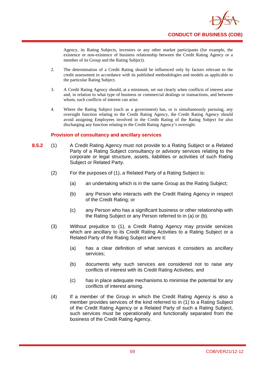

Agency, its Rating Subjects, investors or any other market participants (for example, the existence or non-existence of business relationship between the Credit Rating Agency or a member of its Group and the Rating Subject).

- 2. The determination of a Credit Rating should be influenced only by factors relevant to the credit assessment in accordance with its published methodologies and models as applicable to the particular Rating Subject.
- 3. A Credit Rating Agency should, at a minimum, set out clearly when conflicts of interest arise and, in relation to what type of business or commercial dealings or transactions, and between whom, such conflicts of interest can arise.
- 4. Where the Rating Subject (such as a government) has, or is simultaneously pursuing, any oversight function relating to the Credit Rating Agency, the Credit Rating Agency should avoid assigning Employees involved in the Credit Rating of the Rating Subject for also discharging any function relating to the Credit Rating Agency's oversight.

## **Provision of consultancy and ancillary services**

- **8.5.2** (1) A Credit Rating Agency must not provide to a Rating Subject or a Related Party of a Rating Subject consultancy or advisory services relating to the corporate or legal structure, assets, liabilities or activities of such Rating Subject or Related Party.
	- (2) For the purposes of (1), a Related Party of a Rating Subject is:
		- (a) an undertaking which is in the same Group as the Rating Subject;
		- (b) any Person who interacts with the Credit Rating Agency in respect of the Credit Rating; or
		- (c) any Person who has a significant business or other relationship with the Rating Subject or any Person referred to in (a) or (b).
	- (3) Without prejudice to (1), a Credit Rating Agency may provide services which are ancillary to its Credit Rating Activities to a Rating Subject or a Related Party of the Rating Subject where it:
		- (a) has a clear definition of what services it considers as ancillary services;
		- (b) documents why such services are considered not to raise any conflicts of interest with its Credit Rating Activities; and
		- (c) has in place adequate mechanisms to minimise the potential for any conflicts of interest arising.
	- (4) If a member of the Group in which the Credit Rating Agency is also a member provides services of the kind referred to in (1) to a Rating Subject of the Credit Rating Agency or a Related Party of such a Rating Subject, such services must be operationally and functionally separated from the business of the Credit Rating Agency.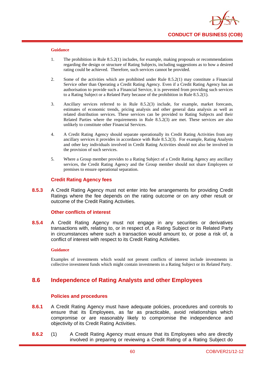

- 1. The prohibition in Rule 8.5.2(1) includes, for example, making proposals or recommendations regarding the design or structure of Rating Subjects, including suggestions as to how a desired rating could be achieved. Therefore, such services cannot be provided.
- 2. Some of the activities which are prohibited under Rule 8.5.2(1) may constitute a Financial Service other than Operating a Credit Rating Agency. Even if a Credit Rating Agency has an authorisation to provide such a Financial Service, it is prevented from providing such services to a Rating Subject or a Related Party because of the prohibition in Rule 8.5.2(1).
- 3. Ancillary services referred to in Rule 8.5.2(3) include, for example, market forecasts, estimates of economic trends, pricing analysis and other general data analysis as well as related distribution services. These services can be provided to Rating Subjects and their Related Parties where the requirements in Rule 8.5.2(3) are met. These services are also unlikely to constitute other Financial Services.
- 4. A Credit Rating Agency should separate operationally its Credit Rating Activities from any ancillary services it provides in accordance with Rule 8.5.2(3). For example, Rating Analysts and other key individuals involved in Credit Rating Activities should not also be involved in the provision of such services.
- 5. Where a Group member provides to a Rating Subject of a Credit Rating Agency any ancillary services, the Credit Rating Agency and the Group member should not share Employees or premises to ensure operational separation.

#### **Credit Rating Agency fees**

**8.5.3** A Credit Rating Agency must not enter into fee arrangements for providing Credit Ratings where the fee depends on the rating outcome or on any other result or outcome of the Credit Rating Activities.

## **Other conflicts of interest**

**8.5.4** A Credit Rating Agency must not engage in any securities or derivatives transactions with, relating to, or in respect of, a Rating Subject or its Related Party in circumstances where such a transaction would amount to, or pose a risk of, a conflict of interest with respect to its Credit Rating Activities.

#### **Guidance**

Examples of investments which would not present conflicts of interest include investments in collective investment funds which might contain investments in a Rating Subject or its Related Party.

## **8.6 Independence of Rating Analysts and other Employees**

#### **Policies and procedures**

- **8.6.1** A Credit Rating Agency must have adequate policies, procedures and controls to ensure that its Employees, as far as practicable, avoid relationships which compromise or are reasonably likely to compromise the independence and objectivity of its Credit Rating Activities.
- **8.6.2** (1) A Credit Rating Agency must ensure that its Employees who are directly involved in preparing or reviewing a Credit Rating of a Rating Subject do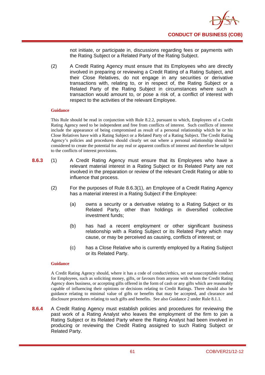

not initiate, or participate in, discussions regarding fees or payments with the Rating Subject or a Related Party of the Rating Subject.

(2) A Credit Rating Agency must ensure that its Employees who are directly involved in preparing or reviewing a Credit Rating of a Rating Subject, and their Close Relatives, do not engage in any securities or derivative transactions with, relating to, or in respect of, the Rating Subject or a Related Party of the Rating Subject in circumstances where such a transaction would amount to, or pose a risk of, a conflict of interest with respect to the activities of the relevant Employee.

#### **Guidance**

This Rule should be read in conjunction with Rule 8.2.2, pursuant to which, Employees of a Credit Rating Agency need to be independent and free from conflicts of interest. Such conflicts of interest include the appearance of being compromised as result of a personal relationship which he or his Close Relatives have with a Rating Subject or a Related Party of a Rating Subject. The Credit Rating Agency's policies and procedures should clearly set out where a personal relationship should be considered to create the potential for any real or apparent conflicts of interest and therefore be subject to the conflicts of interest provisions.

- **8.6.3** (1) A Credit Rating Agency must ensure that its Employees who have a relevant material interest in a Rating Subject or its Related Party are not involved in the preparation or review of the relevant Credit Rating or able to influence that process.
	- (2) For the purposes of Rule 8.6.3(1), an Employee of a Credit Rating Agency has a material interest in a Rating Subject if the Employee:
		- (a) owns a security or a derivative relating to a Rating Subject or its Related Party, other than holdings in diversified collective investment funds;
		- (b) has had a recent employment or other significant business relationship with a Rating Subject or its Related Party which may cause, or may be perceived as causing, conflicts of interest; or
		- (c) has a Close Relative who is currently employed by a Rating Subject or its Related Party.

#### **Guidance**

A Credit Rating Agency should, where it has a code of conduct/ethics, set out unacceptable conduct for Employees, such as soliciting money, gifts, or favours from anyone with whom the Credit Rating Agency does business, or accepting gifts offered in the form of cash or any gifts which are reasonably capable of influencing their opinions or decisions relating to Credit Ratings. There should also be guidance relating to minimal value of gifts or benefits that may be accepted, and clearance and disclosure procedures relating to such gifts and benefits. See also Guidance 2 under Rule 8.1.1.

**8.6.4** A Credit Rating Agency must establish policies and procedures for reviewing the past work of a Rating Analyst who leaves the employment of the firm to join a Rating Subject or its Related Party where the Rating Analyst had been involved in producing or reviewing the Credit Rating assigned to such Rating Subject or Related Party.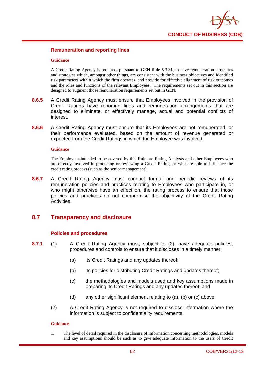

## **Remuneration and reporting lines**

#### **Guidance**

A Credit Rating Agency is required, pursuant to GEN Rule 5.3.31, to have remuneration structures and strategies which, amongst other things, are consistent with the business objectives and identified risk parameters within which the firm operates, and provide for effective alignment of risk outcomes and the roles and functions of the relevant Employees. The requirements set out in this section are designed to augment those remuneration requirements set out in GEN.

- **8.6.5** A Credit Rating Agency must ensure that Employees involved in the provision of Credit Ratings have reporting lines and remuneration arrangements that are designed to eliminate, or effectively manage, actual and potential conflicts of interest.
- **8.6.6** A Credit Rating Agency must ensure that its Employees are not remunerated, or their performance evaluated, based on the amount of revenue generated or expected from the Credit Ratings in which the Employee was involved.

#### **Gui**d**ance**

The Employees intended to be covered by this Rule are Rating Analysts and other Employees who are directly involved in producing or reviewing a Credit Rating, or who are able to influence the credit rating process (such as the senior management).

**8.6.7** A Credit Rating Agency must conduct formal and periodic reviews of its remuneration policies and practices relating to Employees who participate in, or who might otherwise have an effect on, the rating process to ensure that those policies and practices do not compromise the objectivity of the Credit Rating Activities.

# **8.7 Transparency and disclosure**

## **Policies and procedures**

- **8.7.1** (1) A Credit Rating Agency must, subject to (2), have adequate policies, procedures and controls to ensure that it discloses in a timely manner:
	- (a) its Credit Ratings and any updates thereof;
	- (b) its policies for distributing Credit Ratings and updates thereof;
	- (c) the methodologies and models used and key assumptions made in preparing its Credit Ratings and any updates thereof; and
	- (d) any other significant element relating to (a), (b) or (c) above.
	- (2) A Credit Rating Agency is not required to disclose information where the information is subject to confidentiality requirements.

#### **Guidance**

1. The level of detail required in the disclosure of information concerning methodologies, models and key assumptions should be such as to give adequate information to the users of Credit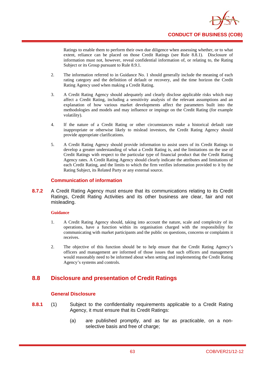

Ratings to enable them to perform their own due diligence when assessing whether, or to what extent, reliance can be placed on those Credit Ratings (see Rule 8.8.1). Disclosure of information must not, however, reveal confidential information of, or relating to, the Rating Subject or its Group pursuant to Rule 8.9.1.

- 2. The information referred to in Guidance No. 1 should generally include the meaning of each rating category and the definition of default or recovery, and the time horizon the Credit Rating Agency used when making a Credit Rating.
- 3. A Credit Rating Agency should adequately and clearly disclose applicable risks which may affect a Credit Rating, including a sensitivity analysis of the relevant assumptions and an explanation of how various market developments affect the parameters built into the methodologies and models and may influence or impinge on the Credit Rating (for example volatility).
- 4. If the nature of a Credit Rating or other circumstances make a historical default rate inappropriate or otherwise likely to mislead investors, the Credit Rating Agency should provide appropriate clarifications.
- 5. A Credit Rating Agency should provide information to assist users of its Credit Ratings to develop a greater understanding of what a Credit Rating is, and the limitations on the use of Credit Ratings with respect to the particular type of financial product that the Credit Rating Agency rates. A Credit Rating Agency should clearly indicate the attributes and limitations of each Credit Rating, and the limits to which the firm verifies information provided to it by the Rating Subject, its Related Party or any external source.

## **Communication of information**

**8.7.2** A Credit Rating Agency must ensure that its communications relating to its Credit Ratings, Credit Rating Activities and its other business are clear, fair and not misleading.

## **Guidance**

- 1. A Credit Rating Agency should, taking into account the nature, scale and complexity of its operations, have a function within its organisation charged with the responsibility for communicating with market participants and the public on questions, concerns or complaints it receives.
- 2. The objective of this function should be to help ensure that the Credit Rating Agency's officers and management are informed of those issues that such officers and management would reasonably need to be informed about when setting and implementing the Credit Rating Agency's systems and controls.

# **8.8 Disclosure and presentation of Credit Ratings**

## **General Disclosure**

- **8.8.1** (1) Subject to the confidentiality requirements applicable to a Credit Rating Agency, it must ensure that its Credit Ratings:
	- (a) are published promptly, and as far as practicable, on a nonselective basis and free of charge;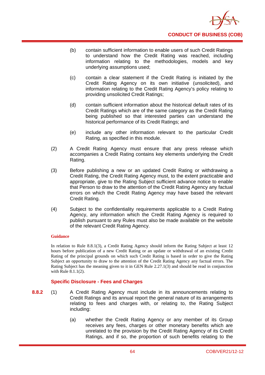

- (b) contain sufficient information to enable users of such Credit Ratings to understand how the Credit Rating was reached, including information relating to the methodologies, models and key underlying assumptions used;
- (c) contain a clear statement if the Credit Rating is initiated by the Credit Rating Agency on its own initiative (unsolicited), and information relating to the Credit Rating Agency's policy relating to providing unsolicited Credit Ratings;
- (d) contain sufficient information about the historical default rates of its Credit Ratings which are of the same category as the Credit Rating being published so that interested parties can understand the historical performance of its Credit Ratings; and
- (e) include any other information relevant to the particular Credit Rating, as specified in this module.
- (2) A Credit Rating Agency must ensure that any press release which accompanies a Credit Rating contains key elements underlying the Credit Rating.
- (3) Before publishing a new or an updated Credit Rating or withdrawing a Credit Rating, the Credit Rating Agency must, to the extent practicable and appropriate, give to the Rating Subject sufficient advance notice to enable that Person to draw to the attention of the Credit Rating Agency any factual errors on which the Credit Rating Agency may have based the relevant Credit Rating.
- (4) Subject to the confidentiality requirements applicable to a Credit Rating Agency, any information which the Credit Rating Agency is required to publish pursuant to any Rules must also be made available on the website of the relevant Credit Rating Agency.

In relation to Rule 8.8.1(3), a Credit Rating Agency should inform the Rating Subject at least 12 hours before publication of a new Credit Rating or an update or withdrawal of an existing Credit Rating of the principal grounds on which such Credit Rating is based in order to give the Rating Subject an opportunity to draw to the attention of the Credit Rating Agency any factual errors. The Rating Subject has the meaning given to it in GEN Rule 2.27.1(3) and should be read in conjunction with Rule 8.1.1(2).

## **Specific Disclosure - Fees and Charges**

- **8.8.2** (1) A Credit Rating Agency must include in its announcements relating to Credit Ratings and its annual report the general nature of its arrangements relating to fees and charges with, or relating to, the Rating Subject including:
	- (a) whether the Credit Rating Agency or any member of its Group receives any fees, charges or other monetary benefits which are unrelated to the provision by the Credit Rating Agency of its Credit Ratings, and if so, the proportion of such benefits relating to the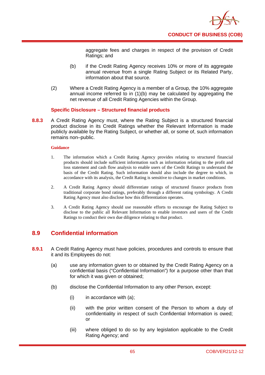

aggregate fees and charges in respect of the provision of Credit Ratings; and

- (b) if the Credit Rating Agency receives 10% or more of its aggregate annual revenue from a single Rating Subject or its Related Party, information about that source.
- (2) Where a Credit Rating Agency is a member of a Group, the 10% aggregate annual income referred to in (1)(b) may be calculated by aggregating the net revenue of all Credit Rating Agencies within the Group.

## **Specific Disclosure – Structured financial products**

**8.8.3** A Credit Rating Agency must, where the Rating Subject is a structured financial product disclose in its Credit Ratings whether the Relevant Information is made publicly available by the Rating Subject, or whether all, or some of, such information remains non–public.

#### **Guidance**

- 1. The information which a Credit Rating Agency provides relating to structured financial products should include sufficient information such as information relating to the profit and loss statement and cash flow analysis to enable users of the Credit Ratings to understand the basis of the Credit Rating. Such information should also include the degree to which, in accordance with its analysis, the Credit Rating is sensitive to changes in market conditions.
- 2. A Credit Rating Agency should differentiate ratings of structured finance products from traditional corporate bond ratings, preferably through a different rating symbology. A Credit Rating Agency must also disclose how this differentiation operates.
- 3. A Credit Rating Agency should use reasonable efforts to encourage the Rating Subject to disclose to the public all Relevant Information to enable investors and users of the Credit Ratings to conduct their own due diligence relating to that product.

# **8.9 Confidential information**

- **8.9.1** A Credit Rating Agency must have policies, procedures and controls to ensure that it and its Employees do not:
	- (a) use any information given to or obtained by the Credit Rating Agency on a confidential basis ("Confidential Information") for a purpose other than that for which it was given or obtained;
	- (b) disclose the Confidential Information to any other Person, except:
		- $(i)$  in accordance with  $(a)$ ;
		- (ii) with the prior written consent of the Person to whom a duty of confidentiality in respect of such Confidential Information is owed; or
		- (iii) where obliged to do so by any legislation applicable to the Credit Rating Agency; and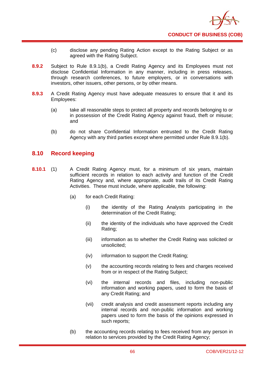

- (c) disclose any pending Rating Action except to the Rating Subject or as agreed with the Rating Subject.
- **8.9.2** Subject to Rule 8.9.1(b), a Credit Rating Agency and its Employees must not disclose Confidential Information in any manner, including in press releases, through research conferences, to future employers, or in conversations with investors, other issuers, other persons, or by other means.
- **8.9.3** A Credit Rating Agency must have adequate measures to ensure that it and its Employees:
	- (a) take all reasonable steps to protect all property and records belonging to or in possession of the Credit Rating Agency against fraud, theft or misuse; and
	- (b) do not share Confidential Information entrusted to the Credit Rating Agency with any third parties except where permitted under Rule 8.9.1(b).

## **8.10 Record keeping**

- **8.10.1** (1) A Credit Rating Agency must, for a minimum of six years, maintain sufficient records in relation to each activity and function of the Credit Rating Agency and, where appropriate, audit trails of its Credit Rating Activities. These must include, where applicable, the following:
	- (a) for each Credit Rating:
		- (i) the identity of the Rating Analysts participating in the determination of the Credit Rating;
		- (ii) the identity of the individuals who have approved the Credit Rating;
		- (iii) information as to whether the Credit Rating was solicited or unsolicited;
		- (iv) information to support the Credit Rating;
		- (v) the accounting records relating to fees and charges received from or in respect of the Rating Subject;
		- (vi) the internal records and files, including non-public information and working papers, used to form the basis of any Credit Rating; and
		- (vii) credit analysis and credit assessment reports including any internal records and non-public information and working papers used to form the basis of the opinions expressed in such reports;
	- (b) the accounting records relating to fees received from any person in relation to services provided by the Credit Rating Agency;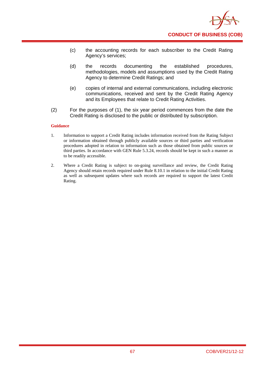

- (c) the accounting records for each subscriber to the Credit Rating Agency's services;
- (d) the records documenting the established procedures, methodologies, models and assumptions used by the Credit Rating Agency to determine Credit Ratings; and
- (e) copies of internal and external communications, including electronic communications, received and sent by the Credit Rating Agency and its Employees that relate to Credit Rating Activities.
- (2) For the purposes of (1), the six year period commences from the date the Credit Rating is disclosed to the public or distributed by subscription.

- 1. Information to support a Credit Rating includes information received from the Rating Subject or information obtained through publicly available sources or third parties and verification procedures adopted in relation to information such as those obtained from public sources or third parties. In accordance with GEN Rule 5.3.24, records should be kept in such a manner as to be readily accessible.
- 2. Where a Credit Rating is subject to on-going surveillance and review, the Credit Rating Agency should retain records required under Rule 8.10.1 in relation to the initial Credit Rating as well as subsequent updates where such records are required to support the latest Credit Rating.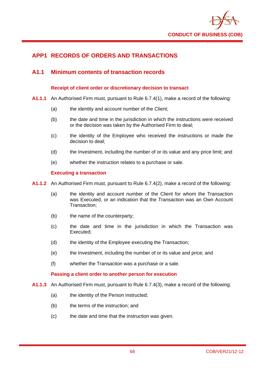

# **APP1 RECORDS OF ORDERS AND TRANSACTIONS**

# **A1.1 Minimum contents of transaction records**

## **Receipt of client order or discretionary decision to transact**

- **A1.1.1** An Authorised Firm must, pursuant to Rule 6.7.4(1), make a record of the following:
	- (a) the identity and account number of the Client;
	- (b) the date and time in the jurisdiction in which the instructions were received or the decision was taken by the Authorised Firm to deal;
	- (c) the identity of the Employee who received the instructions or made the decision to deal;
	- (d) the Investment, including the number of or its value and any price limit; and
	- (e) whether the instruction relates to a purchase or sale.

## **Executing a transaction**

- **A1.1.2** An Authorised Firm must, pursuant to Rule 6.7.4(2), make a record of the following:
	- (a) the identity and account number of the Client for whom the Transaction was Executed, or an indication that the Transaction was an Own Account Transaction;
	- (b) the name of the counterparty;
	- (c) the date and time in the jurisdiction in which the Transaction was Executed;
	- (d) the identity of the Employee executing the Transaction;
	- (e) the Investment, including the number of or its value and price; and
	- (f) whether the Transaction was a purchase or a sale.

## **Passing a client order to another person for execution**

- **A1.1.3** An Authorised Firm must, pursuant to Rule 6.7.4(3), make a record of the following:
	- (a) the identity of the Person instructed:
	- (b) the terms of the instruction; and
	- (c) the date and time that the instruction was given.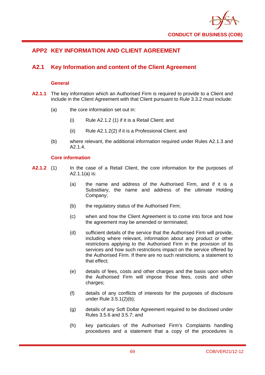

# **APP2 KEY INFORMATION AND CLIENT AGREEMENT**

# **A2.1 Key Information and content of the Client Agreement**

### **General**

- **A2.1.1** The key information which an Authorised Firm is required to provide to a Client and include in the Client Agreement with that Client pursuant to Rule 3.3.2 must include:
	- (a) the core information set out in:
		- (i) Rule A2.1.2 (1) if it is a Retail Client; and
		- (ii) Rule A2.1.2(2) if it is a Professional Client; and
	- (b) where relevant, the additional information required under Rules A2.1.3 and A<sub>2</sub> 14

### **Core information**

- **A2.1.2** (1) In the case of a Retail Client, the core information for the purposes of A2.1.1(a) is:
	- (a) the name and address of the Authorised Firm, and if it is a Subsidiary, the name and address of the ultimate Holding Company;
	- (b) the regulatory status of the Authorised Firm;
	- (c) when and how the Client Agreement is to come into force and how the agreement may be amended or terminated;
	- (d) sufficient details of the service that the Authorised Firm will provide, including where relevant, information about any product or other restrictions applying to the Authorised Firm in the provision of its services and how such restrictions impact on the service offered by the Authorised Firm. If there are no such restrictions, a statement to that effect;
	- (e) details of fees, costs and other charges and the basis upon which the Authorised Firm will impose those fees, costs and other charges:
	- (f) details of any conflicts of interests for the purposes of disclosure under Rule 3.5.1(2)(b);
	- (g) details of any Soft Dollar Agreement required to be disclosed under Rules 3.5.6 and 3.5.7; and
	- (h) key particulars of the Authorised Firm's Complaints handling procedures and a statement that a copy of the procedures is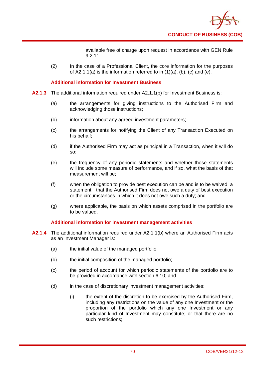

available free of charge upon request in accordance with GEN Rule 9.2.11.

(2) In the case of a Professional Client, the core information for the purposes of  $A2.1.1(a)$  is the information referred to in  $(1)(a)$ ,  $(b)$ ,  $(c)$  and  $(e)$ .

### **Additional information for Investment Business**

- **A2.1.3** The additional information required under A2.1.1(b) for Investment Business is:
	- (a) the arrangements for giving instructions to the Authorised Firm and acknowledging those instructions;
	- (b) information about any agreed investment parameters;
	- (c) the arrangements for notifying the Client of any Transaction Executed on his behalf;
	- (d) if the Authorised Firm may act as principal in a Transaction, when it will do so;
	- (e) the frequency of any periodic statements and whether those statements will include some measure of performance, and if so, what the basis of that measurement will be;
	- (f) when the obligation to provide best execution can be and is to be waived, a statement that the Authorised Firm does not owe a duty of best execution or the circumstances in which it does not owe such a duty; and
	- (g) where applicable, the basis on which assets comprised in the portfolio are to be valued.

### **Additional information for investment management activities**

- **A2.1.4** The additional information required under A2.1.1(b) where an Authorised Firm acts as an Investment Manager is:
	- (a) the initial value of the managed portfolio;
	- (b) the initial composition of the managed portfolio;
	- (c) the period of account for which periodic statements of the portfolio are to be provided in accordance with section 6.10; and
	- (d) in the case of discretionary investment management activities:
		- (i) the extent of the discretion to be exercised by the Authorised Firm, including any restrictions on the value of any one Investment or the proportion of the portfolio which any one Investment or any particular kind of Investment may constitute; or that there are no such restrictions;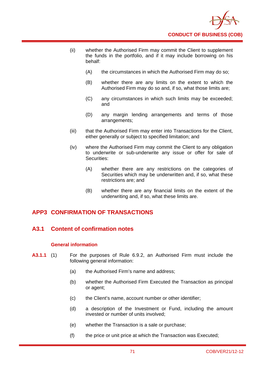

- (ii) whether the Authorised Firm may commit the Client to supplement the funds in the portfolio, and if it may include borrowing on his behalf:
	- (A) the circumstances in which the Authorised Firm may do so;
	- (B) whether there are any limits on the extent to which the Authorised Firm may do so and, if so, what those limits are;
	- (C) any circumstances in which such limits may be exceeded; and
	- (D) any margin lending arrangements and terms of those arrangements;
- (iii) that the Authorised Firm may enter into Transactions for the Client, either generally or subject to specified limitation; and
- (iv) where the Authorised Firm may commit the Client to any obligation to underwrite or sub-underwrite any issue or offer for sale of Securities:
	- (A) whether there are any restrictions on the categories of Securities which may be underwritten and, if so, what these restrictions are; and
	- (B) whether there are any financial limits on the extent of the underwriting and, if so, what these limits are.

# **APP3 CONFIRMATION OF TRANSACTIONS**

# **A3.1 Content of confirmation notes**

### **General information**

- **A3.1.1** (1) For the purposes of Rule 6.9.2, an Authorised Firm must include the following general information:
	- (a) the Authorised Firm's name and address;
	- (b) whether the Authorised Firm Executed the Transaction as principal or agent;
	- (c) the Client's name, account number or other identifier;
	- (d) a description of the Investment or Fund, including the amount invested or number of units involved;
	- (e) whether the Transaction is a sale or purchase;
	- (f) the price or unit price at which the Transaction was Executed;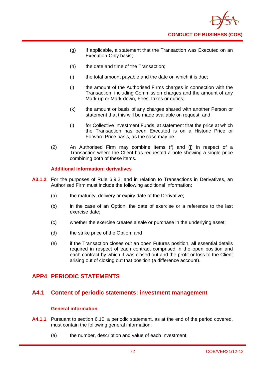

- (g) if applicable, a statement that the Transaction was Executed on an Execution-Only basis;
- (h) the date and time of the Transaction;
- (i) the total amount payable and the date on which it is due;
- (j) the amount of the Authorised Firms charges in connection with the Transaction, including Commission charges and the amount of any Mark-up or Mark-down, Fees, taxes or duties;
- (k) the amount or basis of any charges shared with another Person or statement that this will be made available on request; and
- (l) for Collective Investment Funds, at statement that the price at which the Transaction has been Executed is on a Historic Price or Forward Price basis, as the case may be.
- (2) An Authorised Firm may combine items (f) and (j) in respect of a Transaction where the Client has requested a note showing a single price combining both of these items.

### **Additional information: derivatives**

- **A3.1.2** For the purposes of Rule 6.9.2, and in relation to Transactions in Derivatives, an Authorised Firm must include the following additional information:
	- (a) the maturity, delivery or expiry date of the Derivative;
	- (b) in the case of an Option, the date of exercise or a reference to the last exercise date;
	- (c) whether the exercise creates a sale or purchase in the underlying asset;
	- (d) the strike price of the Option; and
	- (e) if the Transaction closes out an open Futures position, all essential details required in respect of each contract comprised in the open position and each contract by which it was closed out and the profit or loss to the Client arising out of closing out that position (a difference account).

# **APP4 PERIODIC STATEMENTS**

## **A4.1 Content of periodic statements: investment management**

### **General information**

- **A4.1.1** Pursuant to section 6.10, a periodic statement, as at the end of the period covered, must contain the following general information:
	- (a) the number, description and value of each Investment;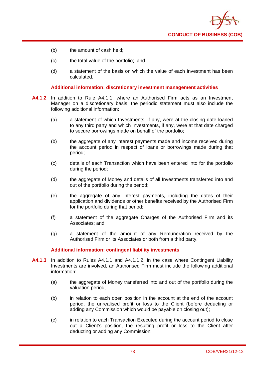

- (b) the amount of cash held;
- (c) the total value of the portfolio; and
- (d) a statement of the basis on which the value of each Investment has been calculated.

### **Additional information: discretionary investment management activities**

- **A4.1.2** In addition to Rule A4.1.1, where an Authorised Firm acts as an Investment Manager on a discretionary basis, the periodic statement must also include the following additional information:
	- (a) a statement of which Investments, if any, were at the closing date loaned to any third party and which Investments, if any, were at that date charged to secure borrowings made on behalf of the portfolio;
	- (b) the aggregate of any interest payments made and income received during the account period in respect of loans or borrowings made during that period;
	- (c) details of each Transaction which have been entered into for the portfolio during the period;
	- (d) the aggregate of Money and details of all Investments transferred into and out of the portfolio during the period;
	- (e) the aggregate of any interest payments, including the dates of their application and dividends or other benefits received by the Authorised Firm for the portfolio during that period;
	- (f) a statement of the aggregate Charges of the Authorised Firm and its Associates; and
	- (g) a statement of the amount of any Remuneration received by the Authorised Firm or its Associates or both from a third party.

### **Additional information: contingent liability investments**

- **A4.1.3** In addition to Rules A4.1.1 and A4.1.1.2, in the case where Contingent Liability Investments are involved, an Authorised Firm must include the following additional information:
	- (a) the aggregate of Money transferred into and out of the portfolio during the valuation period;
	- (b) in relation to each open position in the account at the end of the account period, the unrealised profit or loss to the Client (before deducting or adding any Commission which would be payable on closing out);
	- (c) in relation to each Transaction Executed during the account period to close out a Client's position, the resulting profit or loss to the Client after deducting or adding any Commission;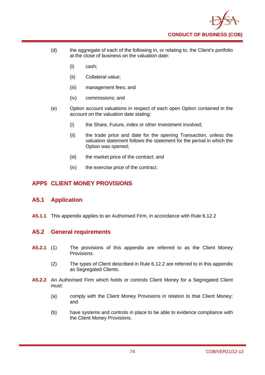

- (d) the aggregate of each of the following in, or relating to, the Client's portfolio at the close of business on the valuation date:
	- (i) cash;
	- (ii) Collateral value;
	- (iii) management fees; and
	- (iv) commissions; and
- (e) Option account valuations in respect of each open Option contained in the account on the valuation date stating:
	- (i) the Share, Future, index or other Investment involved:
	- (ii) the trade price and date for the opening Transaction, unless the valuation statement follows the statement for the period in which the Option was opened;
	- (iii) the market price of the contract; and
	- (iv) the exercise price of the contract.

# **APP5 CLIENT MONEY PROVISIONS**

# **A5.1 Application**

**A5.1.1** This appendix applies to an Authorised Firm, in accordance with Rule 6.12.2

# **A5.2 General requirements**

- **A5.2.1** (1) The provisions of this appendix are referred to as the Client Money Provisions.
	- (2) The types of Client described in Rule 6.12.2 are referred to in this appendix as Segregated Clients.
- **A5.2.2** An Authorised Firm which holds or controls Client Money for a Segregated Client must:
	- (a) comply with the Client Money Provisions in relation to that Client Money; and
	- (b) have systems and controls in place to be able to evidence compliance with the Client Money Provisions.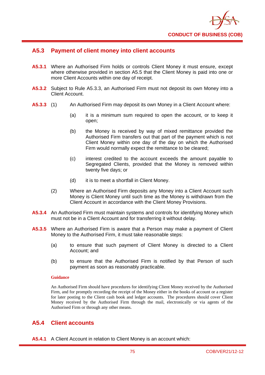

## **A5.3 Payment of client money into client accounts**

- **A5.3.1** Where an Authorised Firm holds or controls Client Money it must ensure, except where otherwise provided in section A5.5 that the Client Money is paid into one or more Client Accounts within one day of receipt.
- **A5.3.2** Subject to Rule A5.3.3, an Authorised Firm must not deposit its own Money into a Client Account.
- **A5.3.3** (1) An Authorised Firm may deposit its own Money in a Client Account where:
	- (a) it is a minimum sum required to open the account, or to keep it open;
	- (b) the Money is received by way of mixed remittance provided the Authorised Firm transfers out that part of the payment which is not Client Money within one day of the day on which the Authorised Firm would normally expect the remittance to be cleared;
	- (c) interest credited to the account exceeds the amount payable to Segregated Clients, provided that the Money is removed within twenty five days; or
	- (d) it is to meet a shortfall in Client Money.
	- (2) Where an Authorised Firm deposits any Money into a Client Account such Money is Client Money until such time as the Money is withdrawn from the Client Account in accordance with the Client Money Provisions.
- **A5.3.4** An Authorised Firm must maintain systems and controls for identifying Money which must not be in a Client Account and for transferring it without delay.
- **A5.3.5** Where an Authorised Firm is aware that a Person may make a payment of Client Money to the Authorised Firm, it must take reasonable steps:
	- (a) to ensure that such payment of Client Money is directed to a Client Account; and
	- (b) to ensure that the Authorised Firm is notified by that Person of such payment as soon as reasonably practicable.

### **Guidance**

An Authorised Firm should have procedures for identifying Client Money received by the Authorised Firm, and for promptly recording the receipt of the Money either in the books of account or a register for later posting to the Client cash book and ledger accounts. The procedures should cover Client Money received by the Authorised Firm through the mail, electronically or via agents of the Authorised Firm or through any other means.

# **A5.4 Client accounts**

**A5.4.1** A Client Account in relation to Client Money is an account which: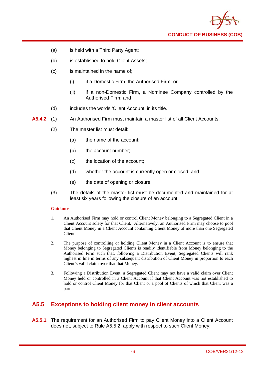

- (a) is held with a Third Party Agent;
- (b) is established to hold Client Assets;
- (c) is maintained in the name of;
	- (i) if a Domestic Firm, the Authorised Firm; or
	- (ii) if a non-Domestic Firm, a Nominee Company controlled by the Authorised Firm; and
- (d) includes the words 'Client Account' in its title.
- **A5.4.2** (1) An Authorised Firm must maintain a master list of all Client Accounts.
	- (2) The master list must detail:
		- (a) the name of the account;
		- (b) the account number;
		- (c) the location of the account;
		- (d) whether the account is currently open or closed; and
		- (e) the date of opening or closure.
	- (3) The details of the master list must be documented and maintained for at least six years following the closure of an account.

- 1. An Authorised Firm may hold or control Client Money belonging to a Segregated Client in a Client Account solely for that Client. Alternatively, an Authorised Firm may choose to pool that Client Money in a Client Account containing Client Money of more than one Segregated Client.
- 2. The purpose of controlling or holding Client Money in a Client Account is to ensure that Money belonging to Segregated Clients is readily identifiable from Money belonging to the Authorised Firm such that, following a Distribution Event, Segregated Clients will rank highest in line in terms of any subsequent distribution of Client Money in proportion to each Client's valid claim over that that Money.
- 3. Following a Distribution Event, a Segregated Client may not have a valid claim over Client Money held or controlled in a Client Account if that Client Account was not established to hold or control Client Money for that Client or a pool of Clients of which that Client was a part.

# **A5.5 Exceptions to holding client money in client accounts**

**A5.5.1** The requirement for an Authorised Firm to pay Client Money into a Client Account does not, subject to Rule A5.5.2, apply with respect to such Client Money: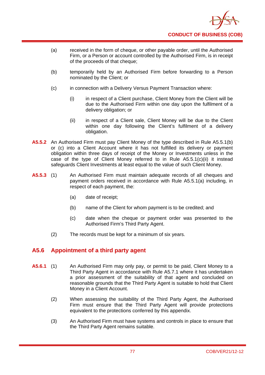

- (a) received in the form of cheque, or other payable order, until the Authorised Firm, or a Person or account controlled by the Authorised Firm, is in receipt of the proceeds of that cheque;
- (b) temporarily held by an Authorised Firm before forwarding to a Person nominated by the Client; or
- (c) in connection with a Delivery Versus Payment Transaction where:
	- (i) in respect of a Client purchase, Client Money from the Client will be due to the Authorised Firm within one day upon the fulfilment of a delivery obligation; or
	- (ii) in respect of a Client sale, Client Money will be due to the Client within one day following the Client's fulfilment of a delivery obligation.
- **A5.5.2** An Authorised Firm must pay Client Money of the type described in Rule A5.5.1(b) or (c) into a Client Account where it has not fulfilled its delivery or payment obligation within three days of receipt of the Money or Investments unless in the case of the type of Client Money referred to in Rule A5.5.1(c)(ii) it instead safeguards Client Investments at least equal to the value of such Client Money.
- **A5.5.3** (1) An Authorised Firm must maintain adequate records of all cheques and payment orders received in accordance with Rule A5.5.1(a) including, in respect of each payment, the:
	- (a) date of receipt;
	- (b) name of the Client for whom payment is to be credited; and
	- (c) date when the cheque or payment order was presented to the Authorised Firm's Third Party Agent.
	- (2) The records must be kept for a minimum of six years.

# **A5.6 Appointment of a third party agent**

- **A5.6.1** (1) An Authorised Firm may only pay, or permit to be paid, Client Money to a Third Party Agent in accordance with Rule A5.7.1 where it has undertaken a prior assessment of the suitability of that agent and concluded on reasonable grounds that the Third Party Agent is suitable to hold that Client Money in a Client Account.
	- (2) When assessing the suitability of the Third Party Agent, the Authorised Firm must ensure that the Third Party Agent will provide protections equivalent to the protections conferred by this appendix.
	- (3) An Authorised Firm must have systems and controls in place to ensure that the Third Party Agent remains suitable.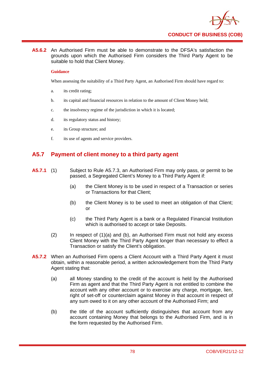

**A5.6.2** An Authorised Firm must be able to demonstrate to the DFSA's satisfaction the grounds upon which the Authorised Firm considers the Third Party Agent to be suitable to hold that Client Money.

### **Guidance**

When assessing the suitability of a Third Party Agent, an Authorised Firm should have regard to:

- a. its credit rating;
- b. its capital and financial resources in relation to the amount of Client Money held;
- c. the insolvency regime of the jurisdiction in which it is located;
- d. its regulatory status and history;
- e. its Group structure; and
- f. its use of agents and service providers.

# **A5.7 Payment of client money to a third party agent**

- **A5.7.1** (1) Subject to Rule A5.7.3, an Authorised Firm may only pass, or permit to be passed, a Segregated Client's Money to a Third Party Agent if:
	- (a) the Client Money is to be used in respect of a Transaction or series or Transactions for that Client;
	- (b) the Client Money is to be used to meet an obligation of that Client; or
	- (c) the Third Party Agent is a bank or a Regulated Financial Institution which is authorised to accept or take Deposits.
	- (2) In respect of (1)(a) and (b), an Authorised Firm must not hold any excess Client Money with the Third Party Agent longer than necessary to effect a Transaction or satisfy the Client's obligation.
- **A5.7.2** When an Authorised Firm opens a Client Account with a Third Party Agent it must obtain, within a reasonable period, a written acknowledgement from the Third Party Agent stating that:
	- (a) all Money standing to the credit of the account is held by the Authorised Firm as agent and that the Third Party Agent is not entitled to combine the account with any other account or to exercise any charge, mortgage, lien, right of set-off or counterclaim against Money in that account in respect of any sum owed to it on any other account of the Authorised Firm; and
	- (b) the title of the account sufficiently distinguishes that account from any account containing Money that belongs to the Authorised Firm, and is in the form requested by the Authorised Firm.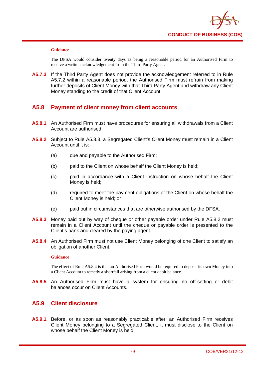

The DFSA would consider twenty days as being a reasonable period for an Authorised Firm to receive a written acknowledgement from the Third Party Agent.

**A5.7.3** If the Third Party Agent does not provide the acknowledgement referred to in Rule A5.7.2 within a reasonable period, the Authorised Firm must refrain from making further deposits of Client Money with that Third Party Agent and withdraw any Client Money standing to the credit of that Client Account.

# **A5.8 Payment of client money from client accounts**

- **A5.8.1** An Authorised Firm must have procedures for ensuring all withdrawals from a Client Account are authorised.
- **A5.8.2** Subject to Rule A5.8.3, a Segregated Client's Client Money must remain in a Client Account until it is:
	- (a) due and payable to the Authorised Firm;
	- (b) paid to the Client on whose behalf the Client Money is held;
	- (c) paid in accordance with a Client instruction on whose behalf the Client Money is held;
	- (d) required to meet the payment obligations of the Client on whose behalf the Client Money is held; or
	- (e) paid out in circumstances that are otherwise authorised by the DFSA.
- **A5.8.3** Money paid out by way of cheque or other payable order under Rule A5.8.2 must remain in a Client Account until the cheque or payable order is presented to the Client's bank and cleared by the paying agent.
- **A5.8.4** An Authorised Firm must not use Client Money belonging of one Client to satisfy an obligation of another Client.

### **Guidance**

The effect of Rule A5.8.4 is that an Authorised Firm would be required to deposit its own Money into a Client Account to remedy a shortfall arising from a client debit balance.

**A5.8.5** An Authorised Firm must have a system for ensuring no off-setting or debit balances occur on Client Accounts.

## **A5.9 Client disclosure**

**A5.9.1** Before, or as soon as reasonably practicable after, an Authorised Firm receives Client Money belonging to a Segregated Client, it must disclose to the Client on whose behalf the Client Money is held: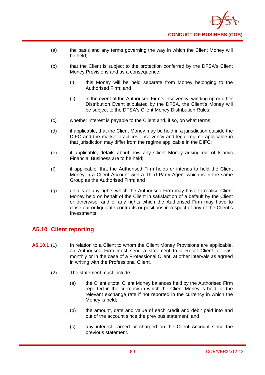

- (a) the basis and any terms governing the way in which the Client Money will be held;
- (b) that the Client is subject to the protection conferred by the DFSA's Client Money Provisions and as a consequence:
	- (i) this Money will be held separate from Money belonging to the Authorised Firm; and
	- (ii) in the event of the Authorised Firm's insolvency, winding up or other Distribution Event stipulated by the DFSA, the Client's Money will be subject to the DFSA's Client Money Distribution Rules;
- (c) whether interest is payable to the Client and, if so, on what terms;
- (d) if applicable, that the Client Money may be held in a jurisdiction outside the DIFC and the market practices, insolvency and legal regime applicable in that jurisdiction may differ from the regime applicable in the DIFC;
- (e) if applicable, details about how any Client Money arising out of Islamic Financial Business are to be held;
- (f) if applicable, that the Authorised Firm holds or intends to hold the Client Money in a Client Account with a Third Party Agent which is in the same Group as the Authorised Firm; and
- (g) details of any rights which the Authorised Firm may have to realise Client Money held on behalf of the Client in satisfaction of a default by the Client or otherwise, and of any rights which the Authorised Firm may have to close out or liquidate contracts or positions in respect of any of the Client's Investments.

# **A5.10 Client reporting**

- **A5.10.1** (1) In relation to a Client to whom the Client Money Provisions are applicable, an Authorised Firm must send a statement to a Retail Client at least monthly or in the case of a Professional Client, at other intervals as agreed in writing with the Professional Client.
	- (2) The statement must include:
		- (a) the Client's total Client Money balances held by the Authorised Firm reported in the currency in which the Client Money is held, or the relevant exchange rate if not reported in the currency in which the Money is held;
		- (b) the amount, date and value of each credit and debit paid into and out of the account since the previous statement; and
		- (c) any interest earned or charged on the Client Account since the previous statement.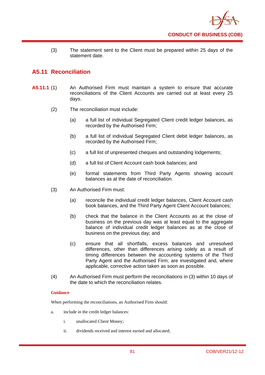

(3) The statement sent to the Client must be prepared within 25 days of the statement date.

# **A5.11 Reconciliation**

- **A5.11.1** (1) An Authorised Firm must maintain a system to ensure that accurate reconciliations of the Client Accounts are carried out at least every 25 days.
	- (2) The reconciliation must include:
		- (a) a full list of individual Segregated Client credit ledger balances, as recorded by the Authorised Firm;
		- (b) a full list of individual Segregated Client debit ledger balances, as recorded by the Authorised Firm;
		- (c) a full list of unpresented cheques and outstanding lodgements;
		- (d) a full list of Client Account cash book balances; and
		- (e) formal statements from Third Party Agents showing account balances as at the date of reconciliation.
	- (3) An Authorised Firm must:
		- (a) reconcile the individual credit ledger balances, Client Account cash book balances, and the Third Party Agent Client Account balances;
		- (b) check that the balance in the Client Accounts as at the close of business on the previous day was at least equal to the aggregate balance of individual credit ledger balances as at the close of business on the previous day; and
		- (c) ensure that all shortfalls, excess balances and unresolved differences, other than differences arising solely as a result of timing differences between the accounting systems of the Third Party Agent and the Authorised Firm, are investigated and, where applicable, corrective action taken as soon as possible.
	- (4) An Authorised Firm must perform the reconciliations in (3) within 10 days of the date to which the reconciliation relates.

### **Guidance**

When performing the reconciliations, an Authorised Firm should:

- a. include in the credit ledger balances:
	- i. unallocated Client Money;
	- ii. dividends received and interest earned and allocated;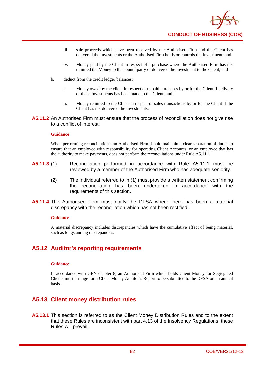

- iii. sale proceeds which have been received by the Authorised Firm and the Client has delivered the Investments or the Authorised Firm holds or controls the Investment; and
- iv. Money paid by the Client in respect of a purchase where the Authorised Firm has not remitted the Money to the counterparty or delivered the Investment to the Client; and
- b. deduct from the credit ledger balances:
	- i. Money owed by the client in respect of unpaid purchases by or for the Client if delivery of those Investments has been made to the Client; and
	- ii. Money remitted to the Client in respect of sales transactions by or for the Client if the Client has not delivered the Investments.
- **A5.11.2** An Authorised Firm must ensure that the process of reconciliation does not give rise to a conflict of interest.

When performing reconciliations, an Authorised Firm should maintain a clear separation of duties to ensure that an employee with responsibility for operating Client Accounts, or an employee that has the authority to make payments, does not perform the reconciliations under Rule A5.11.1

- **A5.11.3** (1) Reconciliation performed in accordance with Rule A5.11.1 must be reviewed by a member of the Authorised Firm who has adequate seniority.
	- (2) The individual referred to in (1) must provide a written statement confirming the reconciliation has been undertaken in accordance with the requirements of this section.
- **A5.11.4** The Authorised Firm must notify the DFSA where there has been a material discrepancy with the reconciliation which has not been rectified.

### **Guidance**

A material discrepancy includes discrepancies which have the cumulative effect of being material, such as longstanding discrepancies.

## **A5.12 Auditor's reporting requirements**

### **Guidance**

In accordance with GEN chapter 8, an Authorised Firm which holds Client Money for Segregated Clients must arrange for a Client Money Auditor's Report to be submitted to the DFSA on an annual basis.

## **A5.13 Client money distribution rules**

**A5.13.1** This section is referred to as the Client Money Distribution Rules and to the extent that these Rules are inconsistent with part 4.13 of the Insolvency Regulations, these Rules will prevail.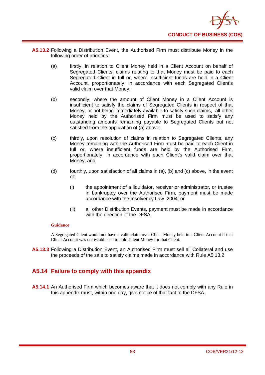

- **A5.13.2** Following a Distribution Event, the Authorised Firm must distribute Money in the following order of priorities:
	- (a) firstly, in relation to Client Money held in a Client Account on behalf of Segregated Clients, claims relating to that Money must be paid to each Segregated Client in full or, where insufficient funds are held in a Client Account, proportionately, in accordance with each Segregated Client's valid claim over that Money;
	- (b) secondly, where the amount of Client Money in a Client Account is insufficient to satisfy the claims of Segregated Clients in respect of that Money, or not being immediately available to satisfy such claims, all other Money held by the Authorised Firm must be used to satisfy any outstanding amounts remaining payable to Segregated Clients but not satisfied from the application of (a) above;
	- (c) thirdly, upon resolution of claims in relation to Segregated Clients, any Money remaining with the Authorised Firm must be paid to each Client in full or, where insufficient funds are held by the Authorised Firm, proportionately, in accordance with each Client's valid claim over that Money; and
	- (d) fourthly, upon satisfaction of all claims in (a), (b) and (c) above, in the event of:
		- (i) the appointment of a liquidator, receiver or administrator, or trustee in bankruptcy over the Authorised Firm, payment must be made accordance with the Insolvency Law 2004; or
		- (ii) all other Distribution Events, payment must be made in accordance with the direction of the DFSA.

A Segregated Client would not have a valid claim over Client Money held in a Client Account if that Client Account was not established to hold Client Money for that Client.

**A5.13.3** Following a Distribution Event, an Authorised Firm must sell all Collateral and use the proceeds of the sale to satisfy claims made in accordance with Rule A5.13.2

# **A5.14 Failure to comply with this appendix**

**A5.14.1** An Authorised Firm which becomes aware that it does not comply with any Rule in this appendix must, within one day, give notice of that fact to the DFSA.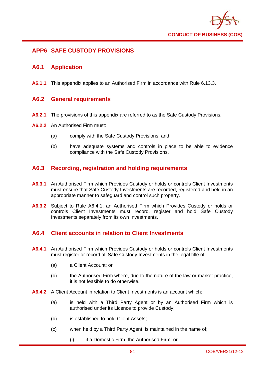

# **APP6 SAFE CUSTODY PROVISIONS**

## **A6.1 Application**

**A6.1.1** This appendix applies to an Authorised Firm in accordance with Rule 6.13.3.

## **A6.2 General requirements**

- **A6.2.1** The provisions of this appendix are referred to as the Safe Custody Provisions.
- **A6.2.2** An Authorised Firm must:
	- (a) comply with the Safe Custody Provisions; and
	- (b) have adequate systems and controls in place to be able to evidence compliance with the Safe Custody Provisions.

# **A6.3 Recording, registration and holding requirements**

- **A6.3.1** An Authorised Firm which Provides Custody or holds or controls Client Investments must ensure that Safe Custody Investments are recorded, registered and held in an appropriate manner to safeguard and control such property.
- **A6.3.2** Subject to Rule A6.4.1, an Authorised Firm which Provides Custody or holds or controls Client Investments must record, register and hold Safe Custody Investments separately from its own Investments.

# **A6.4 Client accounts in relation to Client Investments**

- **A6.4.1** An Authorised Firm which Provides Custody or holds or controls Client Investments must register or record all Safe Custody Investments in the legal title of:
	- (a) a Client Account; or
	- (b) the Authorised Firm where, due to the nature of the law or market practice, it is not feasible to do otherwise.
- **A6.4.2** A Client Account in relation to Client Investments is an account which:
	- (a) is held with a Third Party Agent or by an Authorised Firm which is authorised under its Licence to provide Custody;
	- (b) is established to hold Client Assets;
	- (c) when held by a Third Party Agent, is maintained in the name of;
		- (i) if a Domestic Firm, the Authorised Firm; or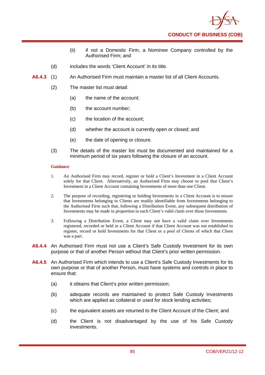

- (ii) if not a Domestic Firm, a Nominee Company controlled by the Authorised Firm; and
- (d) includes the words 'Client Account' in its title.
- **A6.4.3** (1) An Authorised Firm must maintain a master list of all Client Accounts.
	- (2) The master list must detail:
		- (a) the name of the account;
		- (b) the account number;
		- (c) the location of the account;
		- (d) whether the account is currently open or closed; and
		- (e) the date of opening or closure.
	- (3) The details of the master list must be documented and maintained for a minimum period of six years following the closure of an account.

- 1. An Authorised Firm may record, register or hold a Client's Investment in a Client Account solely for that Client. Alternatively, an Authorised Firm may choose to pool that Client's Investment in a Client Account containing Investments of more than one Client.
- 2. The purpose of recording, registering or holding Investments in a Client Account is to ensure that Investments belonging to Clients are readily identifiable from Investments belonging to the Authorised Firm such that, following a Distribution Event, any subsequent distribution of Investments may be made in proportion to each Client's valid claim over those Investments.
- 3. Following a Distribution Event, a Client may not have a valid claim over Investments registered, recorded or held in a Client Account if that Client Account was not established to register, record or hold Investments for that Client or a pool of Clients of which that Client was a part.
- **A6.4.4** An Authorised Firm must not use a Client's Safe Custody Investment for its own purpose or that of another Person without that Client's prior written permission.
- **A6.4.5** An Authorised Firm which intends to use a Client's Safe Custody Investments for its own purpose or that of another Person, must have systems and controls in place to ensure that:
	- (a) it obtains that Client's prior written permission;
	- (b) adequate records are maintained to protect Safe Custody Investments which are applied as collateral or used for stock lending activities;
	- (c) the equivalent assets are returned to the Client Account of the Client; and
	- (d) the Client is not disadvantaged by the use of his Safe Custody Investments.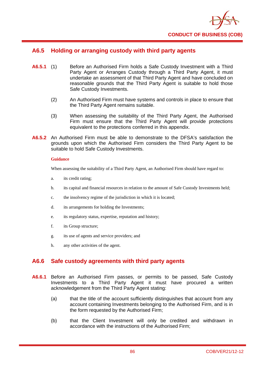

## **A6.5 Holding or arranging custody with third party agents**

- **A6.5.1** (1) Before an Authorised Firm holds a Safe Custody Investment with a Third Party Agent or Arranges Custody through a Third Party Agent, it must undertake an assessment of that Third Party Agent and have concluded on reasonable grounds that the Third Party Agent is suitable to hold those Safe Custody Investments.
	- (2) An Authorised Firm must have systems and controls in place to ensure that the Third Party Agent remains suitable.
	- (3) When assessing the suitability of the Third Party Agent, the Authorised Firm must ensure that the Third Party Agent will provide protections equivalent to the protections conferred in this appendix.
- **A6.5.2** An Authorised Firm must be able to demonstrate to the DFSA's satisfaction the grounds upon which the Authorised Firm considers the Third Party Agent to be suitable to hold Safe Custody Investments.

### **Guidance**

When assessing the suitability of a Third Party Agent, an Authorised Firm should have regard to:

- a. its credit rating;
- b. its capital and financial resources in relation to the amount of Safe Custody Investments held;
- c. the insolvency regime of the jurisdiction in which it is located;
- d. its arrangements for holding the Investments;
- e. its regulatory status, expertise, reputation and history;
- f. its Group structure;
- g. its use of agents and service providers; and
- h. any other activities of the agent.

# **A6.6 Safe custody agreements with third party agents**

- **A6.6.1** Before an Authorised Firm passes, or permits to be passed, Safe Custody Investments to a Third Party Agent it must have procured a written acknowledgement from the Third Party Agent stating:
	- (a) that the title of the account sufficiently distinguishes that account from any account containing Investments belonging to the Authorised Firm, and is in the form requested by the Authorised Firm;
	- (b) that the Client Investment will only be credited and withdrawn in accordance with the instructions of the Authorised Firm;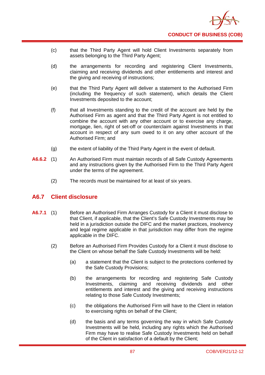

- (c) that the Third Party Agent will hold Client Investments separately from assets belonging to the Third Party Agent;
- (d) the arrangements for recording and registering Client Investments, claiming and receiving dividends and other entitlements and interest and the giving and receiving of instructions;
- (e) that the Third Party Agent will deliver a statement to the Authorised Firm (including the frequency of such statement), which details the Client Investments deposited to the account;
- (f) that all Investments standing to the credit of the account are held by the Authorised Firm as agent and that the Third Party Agent is not entitled to combine the account with any other account or to exercise any charge, mortgage, lien, right of set-off or counterclaim against Investments in that account in respect of any sum owed to it on any other account of the Authorised Firm; and
- (g) the extent of liability of the Third Party Agent in the event of default.
- **A6.6.2** (1) An Authorised Firm must maintain records of all Safe Custody Agreements and any instructions given by the Authorised Firm to the Third Party Agent under the terms of the agreement.
	- (2) The records must be maintained for at least of six years.

## **A6.7 Client disclosure**

- **A6.7.1** (1) Before an Authorised Firm Arranges Custody for a Client it must disclose to that Client, if applicable, that the Client's Safe Custody Investments may be held in a jurisdiction outside the DIFC and the market practices, insolvency and legal regime applicable in that jurisdiction may differ from the regime applicable in the DIFC.
	- (2) Before an Authorised Firm Provides Custody for a Client it must disclose to the Client on whose behalf the Safe Custody Investments will be held:
		- (a) a statement that the Client is subject to the protections conferred by the Safe Custody Provisions;
		- (b) the arrangements for recording and registering Safe Custody Investments, claiming and receiving dividends and other entitlements and interest and the giving and receiving instructions relating to those Safe Custody Investments;
		- (c) the obligations the Authorised Firm will have to the Client in relation to exercising rights on behalf of the Client;
		- (d) the basis and any terms governing the way in which Safe Custody Investments will be held, including any rights which the Authorised Firm may have to realise Safe Custody Investments held on behalf of the Client in satisfaction of a default by the Client;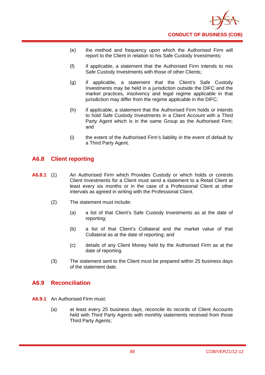

- (e) the method and frequency upon which the Authorised Firm will report to the Client in relation to his Safe Custody Investments;
- (f) if applicable, a statement that the Authorised Firm intends to mix Safe Custody Investments with those of other Clients;
- (g) if applicable, a statement that the Client's Safe Custody Investments may be held in a jurisdiction outside the DIFC and the market practices, insolvency and legal regime applicable in that jurisdiction may differ from the regime applicable in the DIFC;
- (h) if applicable, a statement that the Authorised Firm holds or intends to hold Safe Custody Investments in a Client Account with a Third Party Agent which is in the same Group as the Authorised Firm; and
- (i) the extent of the Authorised Firm's liability in the event of default by a Third Party Agent.

## **A6.8 Client reporting**

- **A6.8.1** (1) An Authorised Firm which Provides Custody or which holds or controls Client Investments for a Client must send a statement to a Retail Client at least every six months or in the case of a Professional Client at other intervals as agreed in writing with the Professional Client.
	- (2) The statement must include:
		- (a) a list of that Client's Safe Custody Investments as at the date of reporting;
		- (b) a list of that Client's Collateral and the market value of that Collateral as at the date of reporting; and
		- (c) details of any Client Money held by the Authorised Firm as at the date of reporting.
	- (3) The statement sent to the Client must be prepared within 25 business days of the statement date.

## **A6.9 Reconciliation**

- **A6.9.1** An Authorised Firm must:
	- (a) at least every 25 business days, reconcile its records of Client Accounts held with Third Party Agents with monthly statements received from those Third Party Agents;